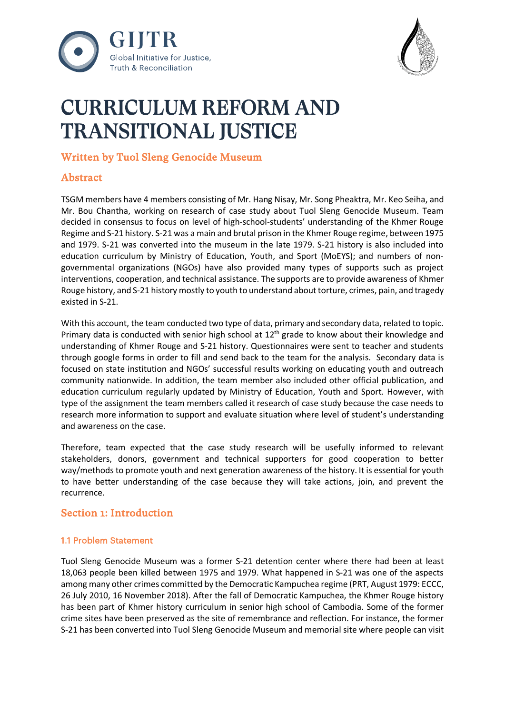



# CURRICULUM REFORM AND TRANSITIONAL JUSTICE

# Written by Tuol Sleng Genocide Museum

# Abstract

TSGM members have 4 members consisting of Mr. Hang Nisay, Mr. Song Pheaktra, Mr. Keo Seiha, and Mr. Bou Chantha, working on research of case study about Tuol Sleng Genocide Museum. Team decided in consensus to focus on level of high-school-students' understanding of the Khmer Rouge Regime and S-21 history. S-21 was a main and brutal prison in the Khmer Rouge regime, between 1975 and 1979. S-21 was converted into the museum in the late 1979. S-21 history is also included into education curriculum by Ministry of Education, Youth, and Sport (MoEYS); and numbers of nongovernmental organizations (NGOs) have also provided many types of supports such as project interventions, cooperation, and technical assistance. The supports are to provide awareness of Khmer Rouge history, and S-21 history mostly to youth to understand about torture, crimes, pain, and tragedy existed in S-21.

With this account, the team conducted two type of data, primary and secondary data, related to topic. Primary data is conducted with senior high school at  $12<sup>th</sup>$  grade to know about their knowledge and understanding of Khmer Rouge and S-21 history. Questionnaires were sent to teacher and students through google forms in order to fill and send back to the team for the analysis. Secondary data is focused on state institution and NGOs' successful results working on educating youth and outreach community nationwide. In addition, the team member also included other official publication, and education curriculum regularly updated by Ministry of Education, Youth and Sport. However, with type of the assignment the team members called it research of case study because the case needs to research more information to support and evaluate situation where level of student's understanding and awareness on the case.

Therefore, team expected that the case study research will be usefully informed to relevant stakeholders, donors, government and technical supporters for good cooperation to better way/methods to promote youth and next generation awareness of the history. It is essential for youth to have better understanding of the case because they will take actions, join, and prevent the recurrence.

# Section 1: Introduction

#### 1.1 Problem Statement

Tuol Sleng Genocide Museum was a former S-21 detention center where there had been at least 18,063 people been killed between 1975 and 1979. What happened in S-21 was one of the aspects among many other crimes committed by the Democratic Kampuchea regime (PRT, August 1979: ECCC, 26 July 2010, 16 November 2018). After the fall of Democratic Kampuchea, the Khmer Rouge history has been part of Khmer history curriculum in senior high school of Cambodia. Some of the former crime sites have been preserved as the site of remembrance and reflection. For instance, the former S-21 has been converted into Tuol Sleng Genocide Museum and memorial site where people can visit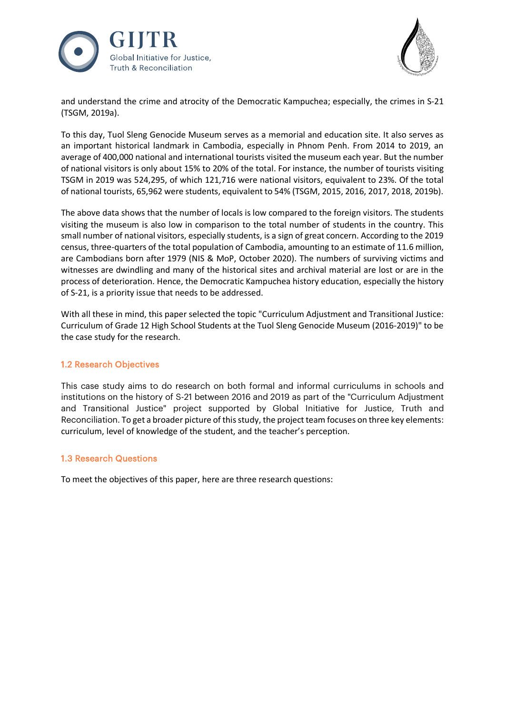



and understand the crime and atrocity of the Democratic Kampuchea; especially, the crimes in S-21 (TSGM, 2019a).

To this day, Tuol Sleng Genocide Museum serves as a memorial and education site. It also serves as an important historical landmark in Cambodia, especially in Phnom Penh. From 2014 to 2019, an average of 400,000 national and international tourists visited the museum each year. But the number of national visitors is only about 15% to 20% of the total. For instance, the number of tourists visiting TSGM in 2019 was 524,295, of which 121,716 were national visitors, equivalent to 23%. Of the total of national tourists, 65,962 were students, equivalent to 54% (TSGM, 2015, 2016, 2017, 2018, 2019b).

The above data shows that the number of locals is low compared to the foreign visitors. The students visiting the museum is also low in comparison to the total number of students in the country. This small number of national visitors, especially students, is a sign of great concern. According to the 2019 census, three-quarters of the total population of Cambodia, amounting to an estimate of 11.6 million, are Cambodians born after 1979 (NIS & MoP, October 2020). The numbers of surviving victims and witnesses are dwindling and many of the historical sites and archival material are lost or are in the process of deterioration. Hence, the Democratic Kampuchea history education, especially the history of S-21, is a priority issue that needs to be addressed.

With all these in mind, this paper selected the topic "Curriculum Adjustment and Transitional Justice: Curriculum of Grade 12 High School Students at the Tuol Sleng Genocide Museum (2016-2019)" to be the case study for the research.

#### 1.2 Research Objectives

This case study aims to do research on both formal and informal curriculums in schools and institutions on the history of S-21 between 2016 and 2019 as part of the "Curriculum Adjustment and Transitional Justice" project supported by Global Initiative for Justice, Truth and Reconciliation. To get a broader picture of this study, the project team focuses on three key elements: curriculum, level of knowledge of the student, and the teacher's perception.

#### 1.3 Research Questions

To meet the objectives of this paper, here are three research questions: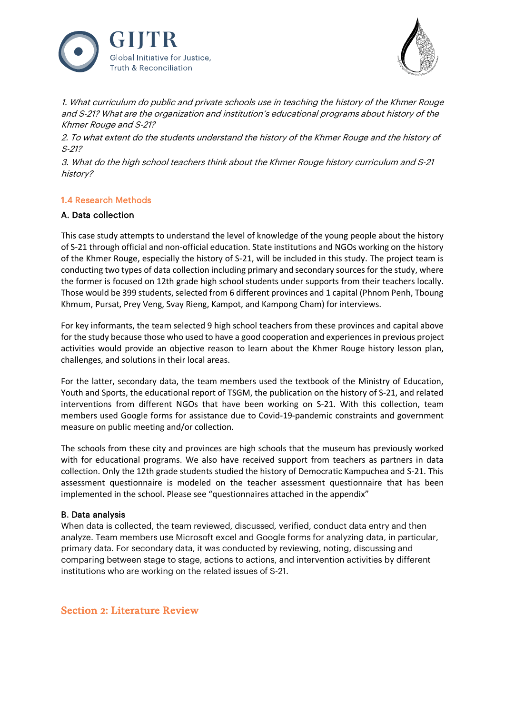



1. What curriculum do public and private schools use in teaching the history of the Khmer Rouge and S-21? What are the organization and institution's educational programs about history of the Khmer Rouge and S-21?

2. To what extent do the students understand the history of the Khmer Rouge and the history of S-21?

3. What do the high school teachers think about the Khmer Rouge history curriculum and S-21 history?

# 1.4 Research Methods

#### A. Data collection

This case study attempts to understand the level of knowledge of the young people about the history of S-21 through official and non-official education. State institutions and NGOs working on the history of the Khmer Rouge, especially the history of S-21, will be included in this study. The project team is conducting two types of data collection including primary and secondary sources for the study, where the former is focused on 12th grade high school students under supports from their teachers locally. Those would be 399 students, selected from 6 different provinces and 1 capital (Phnom Penh, Tboung Khmum, Pursat, Prey Veng, Svay Rieng, Kampot, and Kampong Cham) for interviews.

For key informants, the team selected 9 high school teachers from these provinces and capital above for the study because those who used to have a good cooperation and experiences in previous project activities would provide an objective reason to learn about the Khmer Rouge history lesson plan, challenges, and solutions in their local areas.

For the latter, secondary data, the team members used the textbook of the Ministry of Education, Youth and Sports, the educational report of TSGM, the publication on the history of S-21, and related interventions from different NGOs that have been working on S-21. With this collection, team members used Google forms for assistance due to Covid-19-pandemic constraints and government measure on public meeting and/or collection.

The schools from these city and provinces are high schools that the museum has previously worked with for educational programs. We also have received support from teachers as partners in data collection. Only the 12th grade students studied the history of Democratic Kampuchea and S-21. This assessment questionnaire is modeled on the teacher assessment questionnaire that has been implemented in the school. Please see "questionnaires attached in the appendix"

#### B. Data analysis

When data is collected, the team reviewed, discussed, verified, conduct data entry and then analyze. Team members use Microsoft excel and Google forms for analyzing data, in particular, primary data. For secondary data, it was conducted by reviewing, noting, discussing and comparing between stage to stage, actions to actions, and intervention activities by different institutions who are working on the related issues of S-21.

# Section 2: Literature Review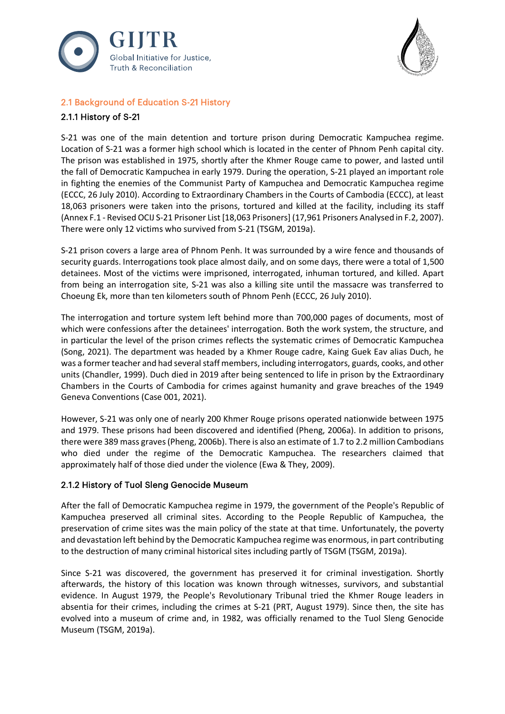



# 2.1 Background of Education S-21 History

#### 2.1.1 History of S-21

S-21 was one of the main detention and torture prison during Democratic Kampuchea regime. Location of S-21 was a former high school which is located in the center of Phnom Penh capital city. The prison was established in 1975, shortly after the Khmer Rouge came to power, and lasted until the fall of Democratic Kampuchea in early 1979. During the operation, S-21 played an important role in fighting the enemies of the Communist Party of Kampuchea and Democratic Kampuchea regime (ECCC, 26 July 2010). According to Extraordinary Chambers in the Courts of Cambodia (ECCC), at least 18,063 prisoners were taken into the prisons, tortured and killed at the facility, including its staff (Annex F.1 - Revised OCIJ S-21 Prisoner List [18,063 Prisoners] (17,961 Prisoners Analysed in F.2, 2007). There were only 12 victims who survived from S-21 (TSGM, 2019a).

S-21 prison covers a large area of Phnom Penh. It was surrounded by a wire fence and thousands of security guards. Interrogations took place almost daily, and on some days, there were a total of 1,500 detainees. Most of the victims were imprisoned, interrogated, inhuman tortured, and killed. Apart from being an interrogation site, S-21 was also a killing site until the massacre was transferred to Choeung Ek, more than ten kilometers south of Phnom Penh (ECCC, 26 July 2010).

The interrogation and torture system left behind more than 700,000 pages of documents, most of which were confessions after the detainees' interrogation. Both the work system, the structure, and in particular the level of the prison crimes reflects the systematic crimes of Democratic Kampuchea (Song, 2021). The department was headed by a Khmer Rouge cadre, Kaing Guek Eav alias Duch, he was a former teacher and had several staff members, including interrogators, guards, cooks, and other units (Chandler, 1999). Duch died in 2019 after being sentenced to life in prison by the Extraordinary Chambers in the Courts of Cambodia for crimes against humanity and grave breaches of the 1949 Geneva Conventions (Case 001, 2021).

However, S-21 was only one of nearly 200 Khmer Rouge prisons operated nationwide between 1975 and 1979. These prisons had been discovered and identified (Pheng, 2006a). In addition to prisons, there were 389 mass graves (Pheng, 2006b). There is also an estimate of 1.7 to 2.2 million Cambodians who died under the regime of the Democratic Kampuchea. The researchers claimed that approximately half of those died under the violence (Ewa & They, 2009).

#### 2.1.2 History of Tuol Sleng Genocide Museum

After the fall of Democratic Kampuchea regime in 1979, the government of the People's Republic of Kampuchea preserved all criminal sites. According to the People Republic of Kampuchea, the preservation of crime sites was the main policy of the state at that time. Unfortunately, the poverty and devastation left behind by the Democratic Kampuchea regime was enormous, in part contributing to the destruction of many criminal historical sites including partly of TSGM (TSGM, 2019a).

Since S-21 was discovered, the government has preserved it for criminal investigation. Shortly afterwards, the history of this location was known through witnesses, survivors, and substantial evidence. In August 1979, the People's Revolutionary Tribunal tried the Khmer Rouge leaders in absentia for their crimes, including the crimes at S-21 (PRT, August 1979). Since then, the site has evolved into a museum of crime and, in 1982, was officially renamed to the Tuol Sleng Genocide Museum (TSGM, 2019a).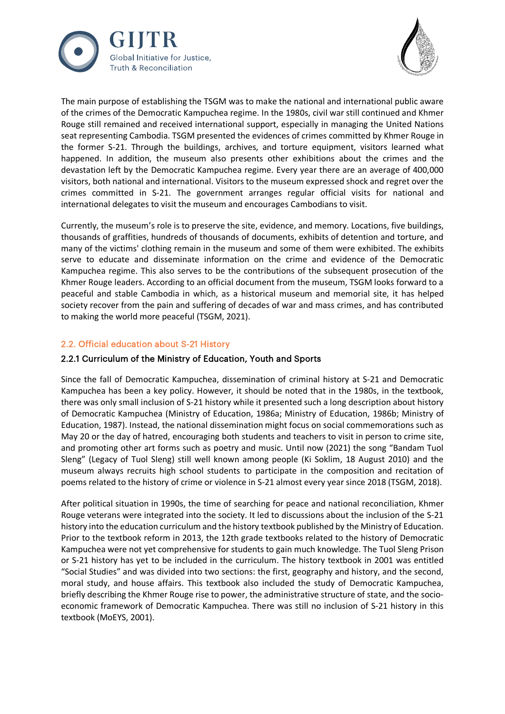



The main purpose of establishing the TSGM was to make the national and international public aware of the crimes of the Democratic Kampuchea regime. In the 1980s, civil war still continued and Khmer Rouge still remained and received international support, especially in managing the United Nations seat representing Cambodia. TSGM presented the evidences of crimes committed by Khmer Rouge in the former S-21. Through the buildings, archives, and torture equipment, visitors learned what happened. In addition, the museum also presents other exhibitions about the crimes and the devastation left by the Democratic Kampuchea regime. Every year there are an average of 400,000 visitors, both national and international. Visitors to the museum expressed shock and regret over the crimes committed in S-21. The government arranges regular official visits for national and international delegates to visit the museum and encourages Cambodians to visit.

Currently, the museum's role is to preserve the site, evidence, and memory. Locations, five buildings, thousands of graffities, hundreds of thousands of documents, exhibits of detention and torture, and many of the victims' clothing remain in the museum and some of them were exhibited. The exhibits serve to educate and disseminate information on the crime and evidence of the Democratic Kampuchea regime. This also serves to be the contributions of the subsequent prosecution of the Khmer Rouge leaders. According to an official document from the museum, TSGM looks forward to a peaceful and stable Cambodia in which, as a historical museum and memorial site, it has helped society recover from the pain and suffering of decades of war and mass crimes, and has contributed to making the world more peaceful (TSGM, 2021).

# 2.2. Official education about S-21 History

#### 2.2.1 Curriculum of the Ministry of Education, Youth and Sports

Since the fall of Democratic Kampuchea, dissemination of criminal history at S-21 and Democratic Kampuchea has been a key policy. However, it should be noted that in the 1980s, in the textbook, there was only small inclusion of S-21 history while it presented such a long description about history of Democratic Kampuchea (Ministry of Education, 1986a; Ministry of Education, 1986b; Ministry of Education, 1987). Instead, the national dissemination might focus on social commemorations such as May 20 or the day of hatred, encouraging both students and teachers to visit in person to crime site, and promoting other art forms such as poetry and music. Until now (2021) the song "Bandam Tuol Sleng" (Legacy of Tuol Sleng) still well known among people (Ki Soklim, 18 August 2010) and the museum always recruits high school students to participate in the composition and recitation of poems related to the history of crime or violence in S-21 almost every year since 2018 (TSGM, 2018).

After political situation in 1990s, the time of searching for peace and national reconciliation, Khmer Rouge veterans were integrated into the society. It led to discussions about the inclusion of the S-21 history into the education curriculum and the history textbook published by the Ministry of Education. Prior to the textbook reform in 2013, the 12th grade textbooks related to the history of Democratic Kampuchea were not yet comprehensive for students to gain much knowledge. The Tuol Sleng Prison or S-21 history has yet to be included in the curriculum. The history textbook in 2001 was entitled "Social Studies" and was divided into two sections: the first, geography and history, and the second, moral study, and house affairs. This textbook also included the study of Democratic Kampuchea, briefly describing the Khmer Rouge rise to power, the administrative structure of state, and the socioeconomic framework of Democratic Kampuchea. There was still no inclusion of S-21 history in this textbook (MoEYS, 2001).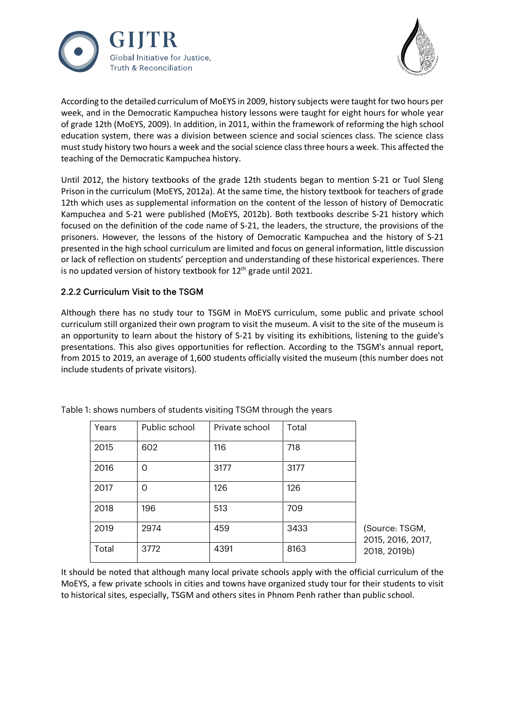



According to the detailed curriculum of MoEYS in 2009, history subjects were taught for two hours per week, and in the Democratic Kampuchea history lessons were taught for eight hours for whole year of grade 12th (MoEYS, 2009). In addition, in 2011, within the framework of reforming the high school education system, there was a division between science and social sciences class. The science class must study history two hours a week and the social science class three hours a week. This affected the teaching of the Democratic Kampuchea history.

Until 2012, the history textbooks of the grade 12th students began to mention S-21 or Tuol Sleng Prison in the curriculum (MoEYS, 2012a). At the same time, the history textbook for teachers of grade 12th which uses as supplemental information on the content of the lesson of history of Democratic Kampuchea and S-21 were published (MoEYS, 2012b). Both textbooks describe S-21 history which focused on the definition of the code name of S-21, the leaders, the structure, the provisions of the prisoners. However, the lessons of the history of Democratic Kampuchea and the history of S-21 presented in the high school curriculum are limited and focus on general information, little discussion or lack of reflection on students' perception and understanding of these historical experiences. There is no updated version of history textbook for 12<sup>th</sup> grade until 2021.

# 2.2.2 Curriculum Visit to the TSGM

Although there has no study tour to TSGM in MoEYS curriculum, some public and private school curriculum still organized their own program to visit the museum. A visit to the site of the museum is an opportunity to learn about the history of S-21 by visiting its exhibitions, listening to the guide's presentations. This also gives opportunities for reflection. According to the TSGM's annual report, from 2015 to 2019, an average of 1,600 students officially visited the museum (this number does not include students of private visitors).

| Years | Public school | Private school | Total |                     |
|-------|---------------|----------------|-------|---------------------|
| 2015  | 602           | 116            | 718   |                     |
| 2016  | $\Omega$      | 3177           | 3177  |                     |
| 2017  | $\Omega$      | 126            | 126   |                     |
| 2018  | 196           | 513            | 709   |                     |
| 2019  | 2974          | 459            | 3433  | (<br>$\overline{2}$ |
| Total | 3772          | 4391           | 8163  | $\overline{2}$      |

Table 1: shows numbers of students visiting TSGM through the years

Source: TSGM, 2015, 2016, 2017, 2018, 2019b)

It should be noted that although many local private schools apply with the official curriculum of the MoEYS, a few private schools in cities and towns have organized study tour for their students to visit to historical sites, especially, TSGM and others sites in Phnom Penh rather than public school.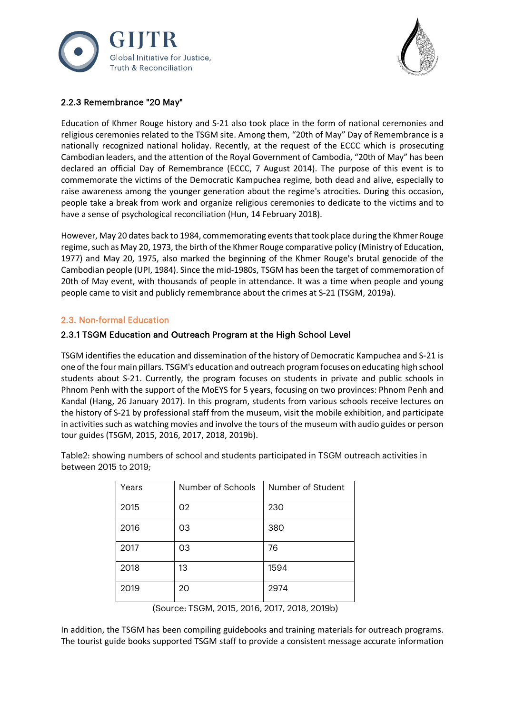



# 2.2.3 Remembrance "20 May"

Education of Khmer Rouge history and S-21 also took place in the form of national ceremonies and religious ceremonies related to the TSGM site. Among them, "20th of May" Day of Remembrance is a nationally recognized national holiday. Recently, at the request of the ECCC which is prosecuting Cambodian leaders, and the attention of the Royal Government of Cambodia, "20th of May" has been declared an official Day of Remembrance (ECCC, 7 August 2014). The purpose of this event is to commemorate the victims of the Democratic Kampuchea regime, both dead and alive, especially to raise awareness among the younger generation about the regime's atrocities. During this occasion, people take a break from work and organize religious ceremonies to dedicate to the victims and to have a sense of psychological reconciliation (Hun, 14 February 2018).

However, May 20 dates back to 1984, commemorating events that took place during the Khmer Rouge regime, such as May 20, 1973, the birth of the Khmer Rouge comparative policy (Ministry of Education, 1977) and May 20, 1975, also marked the beginning of the Khmer Rouge's brutal genocide of the Cambodian people (UPI, 1984). Since the mid-1980s, TSGM has been the target of commemoration of 20th of May event, with thousands of people in attendance. It was a time when people and young people came to visit and publicly remembrance about the crimes at S-21 (TSGM, 2019a).

#### 2.3. Non-formal Education

#### 2.3.1 TSGM Education and Outreach Program at the High School Level

TSGM identifies the education and dissemination of the history of Democratic Kampuchea and S-21 is one of the four main pillars. TSGM's education and outreach program focuses on educating high school students about S-21. Currently, the program focuses on students in private and public schools in Phnom Penh with the support of the MoEYS for 5 years, focusing on two provinces: Phnom Penh and Kandal (Hang, 26 January 2017). In this program, students from various schools receive lectures on the history of S-21 by professional staff from the museum, visit the mobile exhibition, and participate in activities such as watching movies and involve the tours of the museum with audio guides or person tour guides (TSGM, 2015, 2016, 2017, 2018, 2019b).

Table2: showing numbers of school and students participated in TSGM outreach activities in between 2015 to 2019;

| Years | Number of Schools | Number of Student |
|-------|-------------------|-------------------|
| 2015  | 02                | 230               |
| 2016  | 03                | 380               |
| 2017  | 03                | 76                |
| 2018  | 13                | 1594              |
| 2019  | 20                | 2974              |

(Source: TSGM, 2015, 2016, 2017, 2018, 2019b)

In addition, the TSGM has been compiling guidebooks and training materials for outreach programs. The tourist guide books supported TSGM staff to provide a consistent message accurate information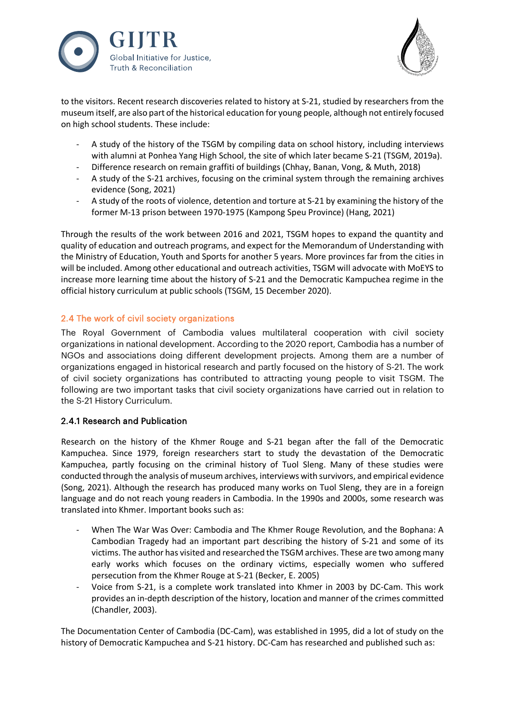



to the visitors. Recent research discoveries related to history at S-21, studied by researchers from the museum itself, are also part of the historical education for young people, although not entirely focused on high school students. These include:

- A study of the history of the TSGM by compiling data on school history, including interviews with alumni at Ponhea Yang High School, the site of which later became S-21 (TSGM, 2019a).
- Difference research on remain graffiti of buildings (Chhay, Banan, Vong, & Muth, 2018)
- A study of the S-21 archives, focusing on the criminal system through the remaining archives evidence (Song, 2021)
- A study of the roots of violence, detention and torture at S-21 by examining the history of the former M-13 prison between 1970-1975 (Kampong Speu Province) (Hang, 2021)

Through the results of the work between 2016 and 2021, TSGM hopes to expand the quantity and quality of education and outreach programs, and expect for the Memorandum of Understanding with the Ministry of Education, Youth and Sports for another 5 years. More provinces far from the cities in will be included. Among other educational and outreach activities, TSGM will advocate with MoEYS to increase more learning time about the history of S-21 and the Democratic Kampuchea regime in the official history curriculum at public schools (TSGM, 15 December 2020).

# 2.4 The work of civil society organizations

The Royal Government of Cambodia values multilateral cooperation with civil society organizations in national development. According to the 2020 report, Cambodia has a number of NGOs and associations doing different development projects. Among them are a number of organizations engaged in historical research and partly focused on the history of S-21. The work of civil society organizations has contributed to attracting young people to visit TSGM. The following are two important tasks that civil society organizations have carried out in relation to the S-21 History Curriculum.

#### 2.4.1 Research and Publication

Research on the history of the Khmer Rouge and S-21 began after the fall of the Democratic Kampuchea. Since 1979, foreign researchers start to study the devastation of the Democratic Kampuchea, partly focusing on the criminal history of Tuol Sleng. Many of these studies were conducted through the analysis of museum archives, interviews with survivors, and empirical evidence (Song, 2021). Although the research has produced many works on Tuol Sleng, they are in a foreign language and do not reach young readers in Cambodia. In the 1990s and 2000s, some research was translated into Khmer. Important books such as:

- When The War Was Over: Cambodia and The Khmer Rouge Revolution, and the Bophana: A Cambodian Tragedy had an important part describing the history of S-21 and some of its victims. The author has visited and researched the TSGM archives. These are two among many early works which focuses on the ordinary victims, especially women who suffered persecution from the Khmer Rouge at S-21 (Becker, E. 2005)
- Voice from S-21, is a complete work translated into Khmer in 2003 by DC-Cam. This work provides an in-depth description of the history, location and manner of the crimes committed (Chandler, 2003).

The Documentation Center of Cambodia (DC-Cam), was established in 1995, did a lot of study on the history of Democratic Kampuchea and S-21 history. DC-Cam has researched and published such as: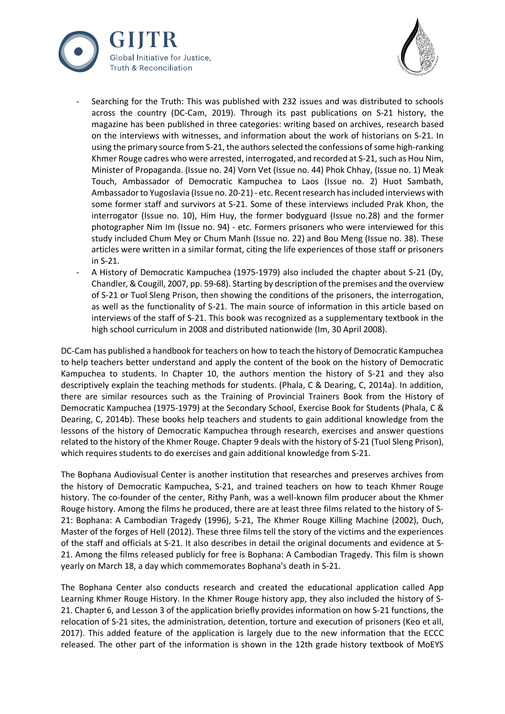



- Searching for the Truth: This was published with 232 issues and was distributed to schools across the country (DC-Cam, 2019). Through its past publications on S-21 history, the magazine has been published in three categories: writing based on archives, research based on the interviews with witnesses, and information about the work of historians on S-21. In using the primary source from S-21, the authors selected the confessions of some high-ranking Khmer Rouge cadres who were arrested, interrogated, and recorded at S-21, such as Hou Nim, Minister of Propaganda. (Issue no. 24) Vorn Vet (Issue no. 44) Phok Chhay, (Issue no. 1) Meak Touch, Ambassador of Democratic Kampuchea to Laos (Issue no. 2) Huot Sambath, Ambassador to Yugoslavia (Issue no. 20-21) - etc. Recent research has included interviews with some former staff and survivors at S-21. Some of these interviews included Prak Khon, the interrogator (Issue no. 10), Him Huy, the former bodyguard (Issue no.28) and the former photographer Nim Im (Issue no. 94) - etc. Formers prisoners who were interviewed for this study included Chum Mey or Chum Manh (Issue no. 22) and Bou Meng (Issue no. 38). These articles were written in a similar format, citing the life experiences of those staff or prisoners in S-21.
- A History of Democratic Kampuchea (1975-1979) also included the chapter about S-21 (Dy, Chandler, & Cougill, 2007, pp. 59-68). Starting by description of the premises and the overview of S-21 or Tuol Sleng Prison, then showing the conditions of the prisoners, the interrogation, as well as the functionality of S-21. The main source of information in this article based on interviews of the staff of S-21. This book was recognized as a supplementary textbook in the high school curriculum in 2008 and distributed nationwide (Im, 30 April 2008).

DC-Cam has published a handbook for teachers on how to teach the history of Democratic Kampuchea to help teachers better understand and apply the content of the book on the history of Democratic Kampuchea to students. In Chapter 10, the authors mention the history of S-21 and they also descriptively explain the teaching methods for students. (Phala, C & Dearing, C, 2014a). In addition, there are similar resources such as the Training of Provincial Trainers Book from the History of Democratic Kampuchea (1975-1979) at the Secondary School, Exercise Book for Students (Phala, C & Dearing, C, 2014b). These books help teachers and students to gain additional knowledge from the lessons of the history of Democratic Kampuchea through research, exercises and answer questions related to the history of the Khmer Rouge. Chapter 9 deals with the history of S-21 (Tuol Sleng Prison), which requires students to do exercises and gain additional knowledge from S-21.

The Bophana Audiovisual Center is another institution that researches and preserves archives from the history of Democratic Kampuchea, S-21, and trained teachers on how to teach Khmer Rouge history. The co-founder of the center, Rithy Panh, was a well-known film producer about the Khmer Rouge history. Among the films he produced, there are at least three films related to the history of S-21: Bophana: A Cambodian Tragedy (1996), S-21, The Khmer Rouge Killing Machine (2002), Duch, Master of the forges of Hell (2012). These three films tell the story of the victims and the experiences of the staff and officials at S-21. It also describes in detail the original documents and evidence at S-21. Among the films released publicly for free is Bophana: A Cambodian Tragedy. This film is shown yearly on March 18, a day which commemorates Bophana's death in S-21.

The Bophana Center also conducts research and created the educational application called App Learning Khmer Rouge History. In the Khmer Rouge history app, they also included the history of S-21. Chapter 6, and Lesson 3 of the application briefly provides information on how S-21 functions, the relocation of S-21 sites, the administration, detention, torture and execution of prisoners (Keo et all, 2017). This added feature of the application is largely due to the new information that the ECCC released. The other part of the information is shown in the 12th grade history textbook of MoEYS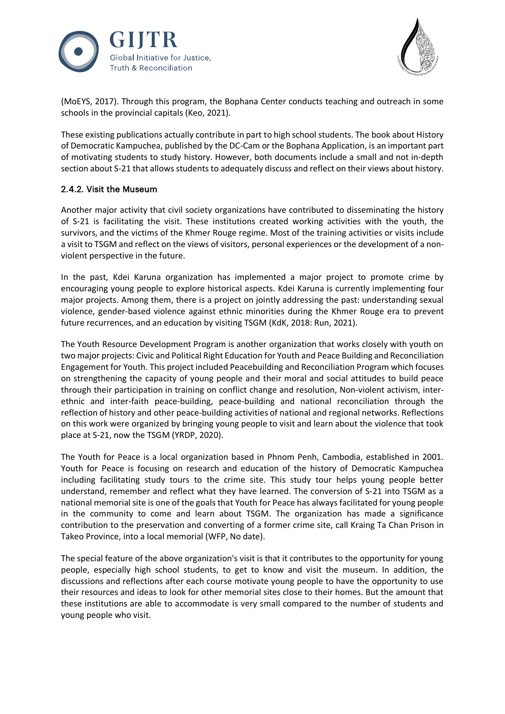



(MoEYS, 2017). Through this program, the Bophana Center conducts teaching and outreach in some schools in the provincial capitals (Keo, 2021).

These existing publications actually contribute in part to high school students. The book about History of Democratic Kampuchea, published by the DC-Cam or the Bophana Application, is an important part of motivating students to study history. However, both documents include a small and not in-depth section about S-21 that allows students to adequately discuss and reflect on their views about history.

#### 2.4.2. Visit the Museum

Another major activity that civil society organizations have contributed to disseminating the history of S-21 is facilitating the visit. These institutions created working activities with the youth, the survivors, and the victims of the Khmer Rouge regime. Most of the training activities or visits include a visit to TSGM and reflect on the views of visitors, personal experiences or the development of a nonviolent perspective in the future.

In the past, Kdei Karuna organization has implemented a major project to promote crime by encouraging young people to explore historical aspects. Kdei Karuna is currently implementing four major projects. Among them, there is a project on jointly addressing the past: understanding sexual violence, gender-based violence against ethnic minorities during the Khmer Rouge era to prevent future recurrences, and an education by visiting TSGM (KdK, 2018: Run, 2021).

The Youth Resource Development Program is another organization that works closely with youth on two major projects: Civic and Political Right Education for Youth and Peace Building and Reconciliation Engagement for Youth. This project included Peacebuilding and Reconciliation Program which focuses on strengthening the capacity of young people and their moral and social attitudes to build peace through their participation in training on conflict change and resolution, Non-violent activism, interethnic and inter-faith peace-building, peace-building and national reconciliation through the reflection of history and other peace-building activities of national and regional networks. Reflections on this work were organized by bringing young people to visit and learn about the violence that took place at S-21, now the TSGM (YRDP, 2020).

The Youth for Peace is a local organization based in Phnom Penh, Cambodia, established in 2001. Youth for Peace is focusing on research and education of the history of Democratic Kampuchea including facilitating study tours to the crime site. This study tour helps young people better understand, remember and reflect what they have learned. The conversion of S-21 into TSGM as a national memorial site is one of the goals that Youth for Peace has always facilitated for young people in the community to come and learn about TSGM. The organization has made a significance contribution to the preservation and converting of a former crime site, call Kraing Ta Chan Prison in Takeo Province, into a local memorial (WFP, No date).

The special feature of the above organization's visit is that it contributes to the opportunity for young people, especially high school students, to get to know and visit the museum. In addition, the discussions and reflections after each course motivate young people to have the opportunity to use their resources and ideas to look for other memorial sites close to their homes. But the amount that these institutions are able to accommodate is very small compared to the number of students and young people who visit.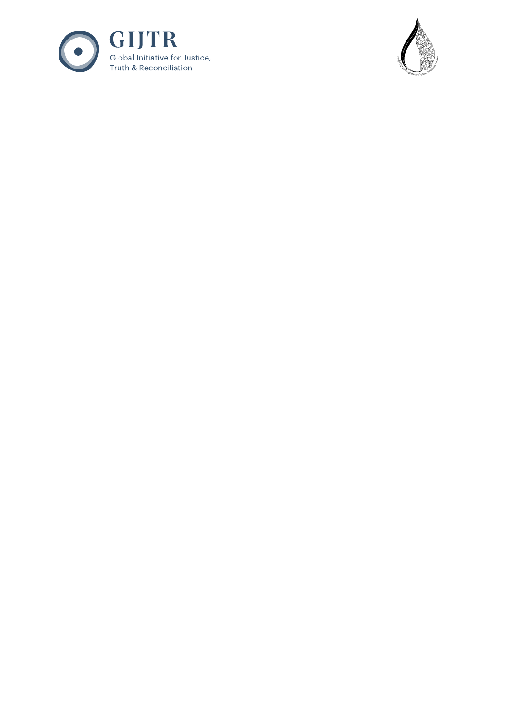

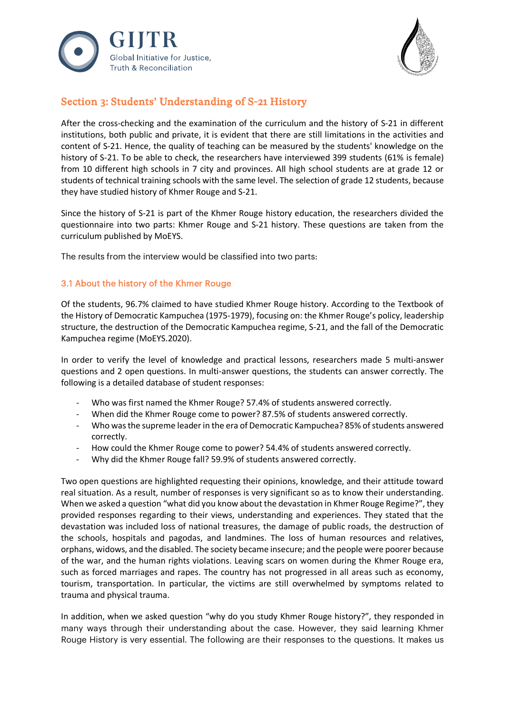



# Section 3: Students' Understanding of S-21 History

After the cross-checking and the examination of the curriculum and the history of S-21 in different institutions, both public and private, it is evident that there are still limitations in the activities and content of S-21. Hence, the quality of teaching can be measured by the students' knowledge on the history of S-21. To be able to check, the researchers have interviewed 399 students (61% is female) from 10 different high schools in 7 city and provinces. All high school students are at grade 12 or students of technical training schools with the same level. The selection of grade 12 students, because they have studied history of Khmer Rouge and S-21.

Since the history of S-21 is part of the Khmer Rouge history education, the researchers divided the questionnaire into two parts: Khmer Rouge and S-21 history. These questions are taken from the curriculum published by MoEYS.

The results from the interview would be classified into two parts:

# 3.1 About the history of the Khmer Rouge

Of the students, 96.7% claimed to have studied Khmer Rouge history. According to the Textbook of the History of Democratic Kampuchea (1975-1979), focusing on: the Khmer Rouge's policy, leadership structure, the destruction of the Democratic Kampuchea regime, S-21, and the fall of the Democratic Kampuchea regime (MoEYS.2020).

In order to verify the level of knowledge and practical lessons, researchers made 5 multi-answer questions and 2 open questions. In multi-answer questions, the students can answer correctly. The following is a detailed database of student responses:

- Who was first named the Khmer Rouge? 57.4% of students answered correctly.
- When did the Khmer Rouge come to power? 87.5% of students answered correctly.
- Who was the supreme leader in the era of Democratic Kampuchea? 85% of students answered correctly.
- How could the Khmer Rouge come to power? 54.4% of students answered correctly.
- Why did the Khmer Rouge fall? 59.9% of students answered correctly.

Two open questions are highlighted requesting their opinions, knowledge, and their attitude toward real situation. As a result, number of responses is very significant so as to know their understanding. When we asked a question "what did you know about the devastation in Khmer Rouge Regime?", they provided responses regarding to their views, understanding and experiences. They stated that the devastation was included loss of national treasures, the damage of public roads, the destruction of the schools, hospitals and pagodas, and landmines. The loss of human resources and relatives, orphans, widows, and the disabled. The society became insecure; and the people were poorer because of the war, and the human rights violations. Leaving scars on women during the Khmer Rouge era, such as forced marriages and rapes. The country has not progressed in all areas such as economy, tourism, transportation. In particular, the victims are still overwhelmed by symptoms related to trauma and physical trauma.

In addition, when we asked question "why do you study Khmer Rouge history?", they responded in many ways through their understanding about the case. However, they said learning Khmer Rouge History is very essential. The following are their responses to the questions. It makes us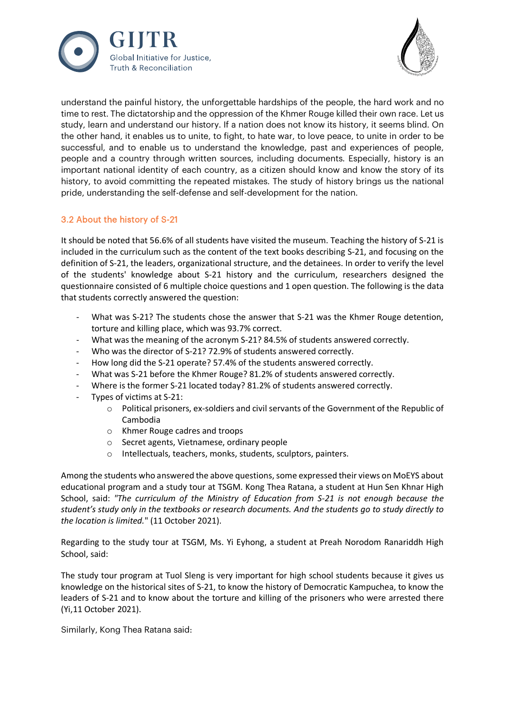



understand the painful history, the unforgettable hardships of the people, the hard work and no time to rest. The dictatorship and the oppression of the Khmer Rouge killed their own race. Let us study, learn and understand our history. If a nation does not know its history, it seems blind. On the other hand, it enables us to unite, to fight, to hate war, to love peace, to unite in order to be successful, and to enable us to understand the knowledge, past and experiences of people, people and a country through written sources, including documents. Especially, history is an important national identity of each country, as a citizen should know and know the story of its history, to avoid committing the repeated mistakes. The study of history brings us the national pride, understanding the self-defense and self-development for the nation.

#### 3.2 About the history of S-21

It should be noted that 56.6% of all students have visited the museum. Teaching the history of S-21 is included in the curriculum such as the content of the text books describing S-21, and focusing on the definition of S-21, the leaders, organizational structure, and the detainees. In order to verify the level of the students' knowledge about S-21 history and the curriculum, researchers designed the questionnaire consisted of 6 multiple choice questions and 1 open question. The following is the data that students correctly answered the question:

- What was S-21? The students chose the answer that S-21 was the Khmer Rouge detention, torture and killing place, which was 93.7% correct.
- What was the meaning of the acronym S-21? 84.5% of students answered correctly.
- Who was the director of S-21? 72.9% of students answered correctly.
- How long did the S-21 operate? 57.4% of the students answered correctly.
- What was S-21 before the Khmer Rouge? 81.2% of students answered correctly.
- Where is the former S-21 located today? 81.2% of students answered correctly.
- Types of victims at S-21:
	- o Political prisoners, ex-soldiers and civil servants of the Government of the Republic of Cambodia
	- o Khmer Rouge cadres and troops
	- o Secret agents, Vietnamese, ordinary people
	- o Intellectuals, teachers, monks, students, sculptors, painters.

Among the students who answered the above questions, some expressed their views on MoEYS about educational program and a study tour at TSGM. Kong Thea Ratana, a student at Hun Sen Khnar High School, said: *"The curriculum of the Ministry of Education from S-21 is not enough because the student's study only in the textbooks or research documents. And the students go to study directly to the location is limited.*" (11 October 2021).

Regarding to the study tour at TSGM, Ms. Yi Eyhong, a student at Preah Norodom Ranariddh High School, said:

The study tour program at Tuol Sleng is very important for high school students because it gives us knowledge on the historical sites of S-21, to know the history of Democratic Kampuchea, to know the leaders of S-21 and to know about the torture and killing of the prisoners who were arrested there (Yi,11 October 2021).

Similarly, Kong Thea Ratana said: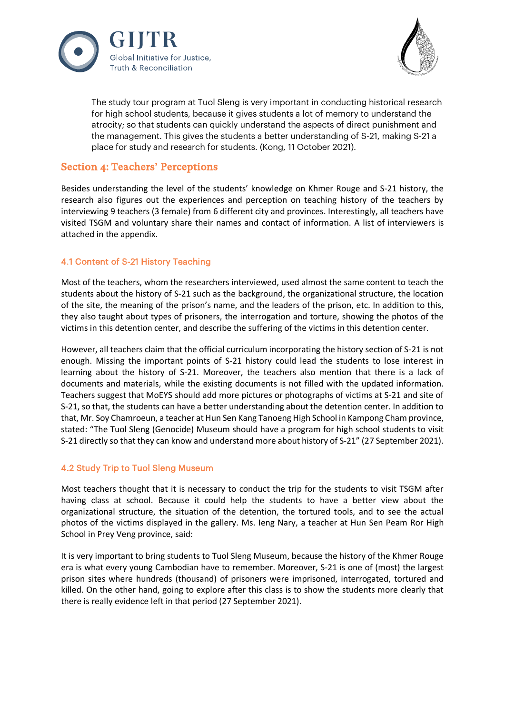



The study tour program at Tuol Sleng is very important in conducting historical research for high school students, because it gives students a lot of memory to understand the atrocity; so that students can quickly understand the aspects of direct punishment and the management. This gives the students a better understanding of S-21, making S-21 a place for study and research for students. (Kong, 11 October 2021).

# Section 4: Teachers' Perceptions

Besides understanding the level of the students' knowledge on Khmer Rouge and S-21 history, the research also figures out the experiences and perception on teaching history of the teachers by interviewing 9 teachers (3 female) from 6 different city and provinces. Interestingly, all teachers have visited TSGM and voluntary share their names and contact of information. A list of interviewers is attached in the appendix.

#### 4.1 Content of S-21 History Teaching

Most of the teachers, whom the researchers interviewed, used almost the same content to teach the students about the history of S-21 such as the background, the organizational structure, the location of the site, the meaning of the prison's name, and the leaders of the prison, etc. In addition to this, they also taught about types of prisoners, the interrogation and torture, showing the photos of the victims in this detention center, and describe the suffering of the victims in this detention center.

However, all teachers claim that the official curriculum incorporating the history section of S-21 is not enough. Missing the important points of S-21 history could lead the students to lose interest in learning about the history of S-21. Moreover, the teachers also mention that there is a lack of documents and materials, while the existing documents is not filled with the updated information. Teachers suggest that MoEYS should add more pictures or photographs of victims at S-21 and site of S-21, so that, the students can have a better understanding about the detention center. In addition to that, Mr. Soy Chamroeun, a teacher at Hun Sen Kang Tanoeng High School in Kampong Cham province, stated: "The Tuol Sleng (Genocide) Museum should have a program for high school students to visit S-21 directly so that they can know and understand more about history of S-21" (27 September 2021).

#### 4.2 Study Trip to Tuol Sleng Museum

Most teachers thought that it is necessary to conduct the trip for the students to visit TSGM after having class at school. Because it could help the students to have a better view about the organizational structure, the situation of the detention, the tortured tools, and to see the actual photos of the victims displayed in the gallery. Ms. Ieng Nary, a teacher at Hun Sen Peam Ror High School in Prey Veng province, said:

It is very important to bring students to Tuol Sleng Museum, because the history of the Khmer Rouge era is what every young Cambodian have to remember. Moreover, S-21 is one of (most) the largest prison sites where hundreds (thousand) of prisoners were imprisoned, interrogated, tortured and killed. On the other hand, going to explore after this class is to show the students more clearly that there is really evidence left in that period (27 September 2021).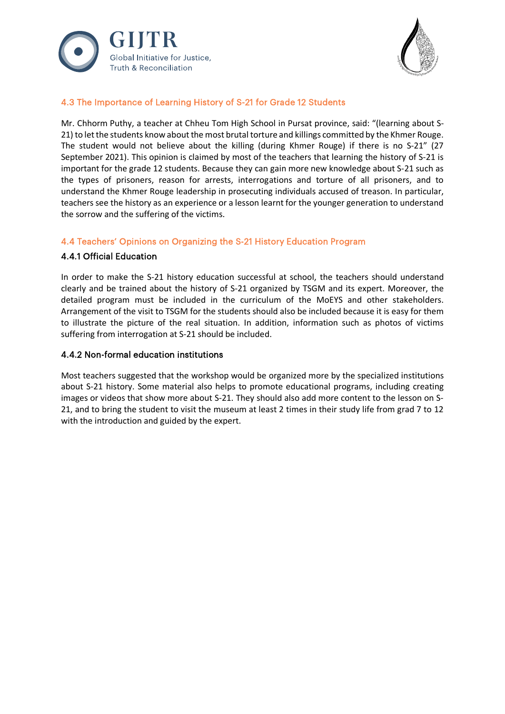



# 4.3 The Importance of Learning History of S-21 for Grade 12 Students

Mr. Chhorm Puthy, a teacher at Chheu Tom High School in Pursat province, said: "(learning about S-21) to let the students know about the most brutal torture and killings committed by the Khmer Rouge. The student would not believe about the killing (during Khmer Rouge) if there is no S-21" (27 September 2021). This opinion is claimed by most of the teachers that learning the history of S-21 is important for the grade 12 students. Because they can gain more new knowledge about S-21 such as the types of prisoners, reason for arrests, interrogations and torture of all prisoners, and to understand the Khmer Rouge leadership in prosecuting individuals accused of treason. In particular, teachers see the history as an experience or a lesson learnt for the younger generation to understand the sorrow and the suffering of the victims.

#### 4.4 Teachers' Opinions on Organizing the S-21 History Education Program

#### 4.4.1 Official Education

In order to make the S-21 history education successful at school, the teachers should understand clearly and be trained about the history of S-21 organized by TSGM and its expert. Moreover, the detailed program must be included in the curriculum of the MoEYS and other stakeholders. Arrangement of the visit to TSGM for the students should also be included because it is easy for them to illustrate the picture of the real situation. In addition, information such as photos of victims suffering from interrogation at S-21 should be included.

#### 4.4.2 Non-formal education institutions

Most teachers suggested that the workshop would be organized more by the specialized institutions about S-21 history. Some material also helps to promote educational programs, including creating images or videos that show more about S-21. They should also add more content to the lesson on S-21, and to bring the student to visit the museum at least 2 times in their study life from grad 7 to 12 with the introduction and guided by the expert.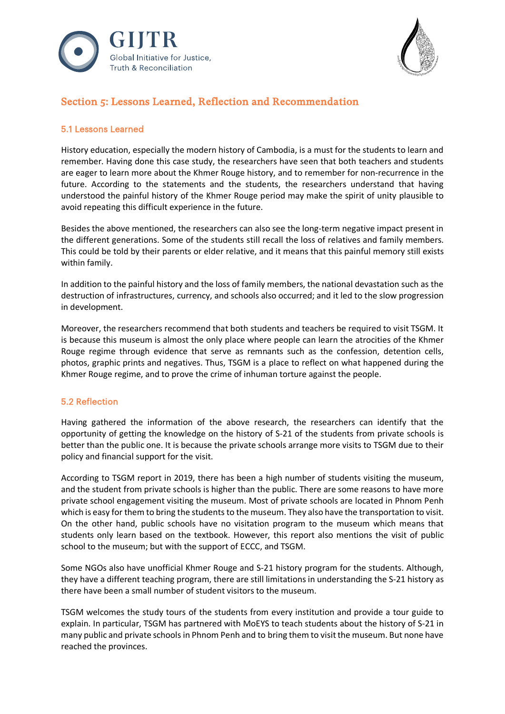



# Section 5: Lessons Learned, Reflection and Recommendation

#### 5.1 Lessons Learned

History education, especially the modern history of Cambodia, is a must for the students to learn and remember. Having done this case study, the researchers have seen that both teachers and students are eager to learn more about the Khmer Rouge history, and to remember for non-recurrence in the future. According to the statements and the students, the researchers understand that having understood the painful history of the Khmer Rouge period may make the spirit of unity plausible to avoid repeating this difficult experience in the future.

Besides the above mentioned, the researchers can also see the long-term negative impact present in the different generations. Some of the students still recall the loss of relatives and family members. This could be told by their parents or elder relative, and it means that this painful memory still exists within family.

In addition to the painful history and the loss of family members, the national devastation such as the destruction of infrastructures, currency, and schools also occurred; and it led to the slow progression in development.

Moreover, the researchers recommend that both students and teachers be required to visit TSGM. It is because this museum is almost the only place where people can learn the atrocities of the Khmer Rouge regime through evidence that serve as remnants such as the confession, detention cells, photos, graphic prints and negatives. Thus, TSGM is a place to reflect on what happened during the Khmer Rouge regime, and to prove the crime of inhuman torture against the people.

#### 5.2 Reflection

Having gathered the information of the above research, the researchers can identify that the opportunity of getting the knowledge on the history of S-21 of the students from private schools is better than the public one. It is because the private schools arrange more visits to TSGM due to their policy and financial support for the visit.

According to TSGM report in 2019, there has been a high number of students visiting the museum, and the student from private schools is higher than the public. There are some reasons to have more private school engagement visiting the museum. Most of private schools are located in Phnom Penh which is easy for them to bring the students to the museum. They also have the transportation to visit. On the other hand, public schools have no visitation program to the museum which means that students only learn based on the textbook. However, this report also mentions the visit of public school to the museum; but with the support of ECCC, and TSGM.

Some NGOs also have unofficial Khmer Rouge and S-21 history program for the students. Although, they have a different teaching program, there are still limitations in understanding the S-21 history as there have been a small number of student visitors to the museum.

TSGM welcomes the study tours of the students from every institution and provide a tour guide to explain. In particular, TSGM has partnered with MoEYS to teach students about the history of S-21 in many public and private schools in Phnom Penh and to bring them to visit the museum. But none have reached the provinces.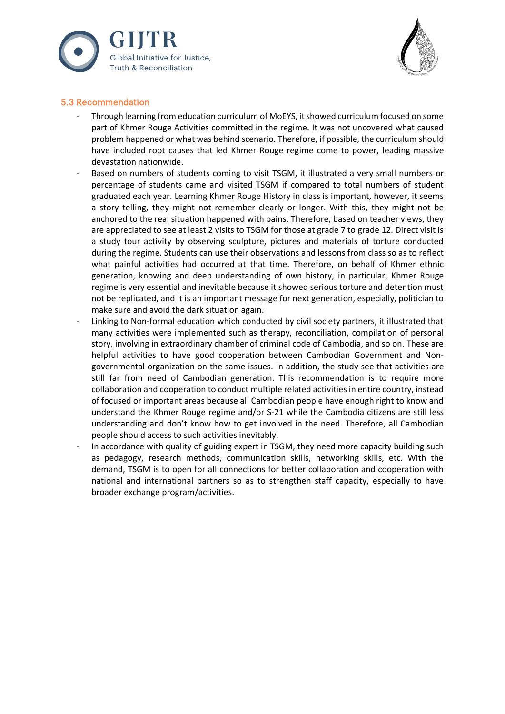



#### 5.3 Recommendation

- Through learning from education curriculum of MoEYS, it showed curriculum focused on some part of Khmer Rouge Activities committed in the regime. It was not uncovered what caused problem happened or what was behind scenario. Therefore, if possible, the curriculum should have included root causes that led Khmer Rouge regime come to power, leading massive devastation nationwide.
- Based on numbers of students coming to visit TSGM, it illustrated a very small numbers or percentage of students came and visited TSGM if compared to total numbers of student graduated each year. Learning Khmer Rouge History in class is important, however, it seems a story telling, they might not remember clearly or longer. With this, they might not be anchored to the real situation happened with pains. Therefore, based on teacher views, they are appreciated to see at least 2 visits to TSGM for those at grade 7 to grade 12. Direct visit is a study tour activity by observing sculpture, pictures and materials of torture conducted during the regime. Students can use their observations and lessons from class so as to reflect what painful activities had occurred at that time. Therefore, on behalf of Khmer ethnic generation, knowing and deep understanding of own history, in particular, Khmer Rouge regime is very essential and inevitable because it showed serious torture and detention must not be replicated, and it is an important message for next generation, especially, politician to make sure and avoid the dark situation again.
- Linking to Non-formal education which conducted by civil society partners, it illustrated that many activities were implemented such as therapy, reconciliation, compilation of personal story, involving in extraordinary chamber of criminal code of Cambodia, and so on. These are helpful activities to have good cooperation between Cambodian Government and Nongovernmental organization on the same issues. In addition, the study see that activities are still far from need of Cambodian generation. This recommendation is to require more collaboration and cooperation to conduct multiple related activities in entire country, instead of focused or important areas because all Cambodian people have enough right to know and understand the Khmer Rouge regime and/or S-21 while the Cambodia citizens are still less understanding and don't know how to get involved in the need. Therefore, all Cambodian people should access to such activities inevitably.
- In accordance with quality of guiding expert in TSGM, they need more capacity building such as pedagogy, research methods, communication skills, networking skills, etc. With the demand, TSGM is to open for all connections for better collaboration and cooperation with national and international partners so as to strengthen staff capacity, especially to have broader exchange program/activities.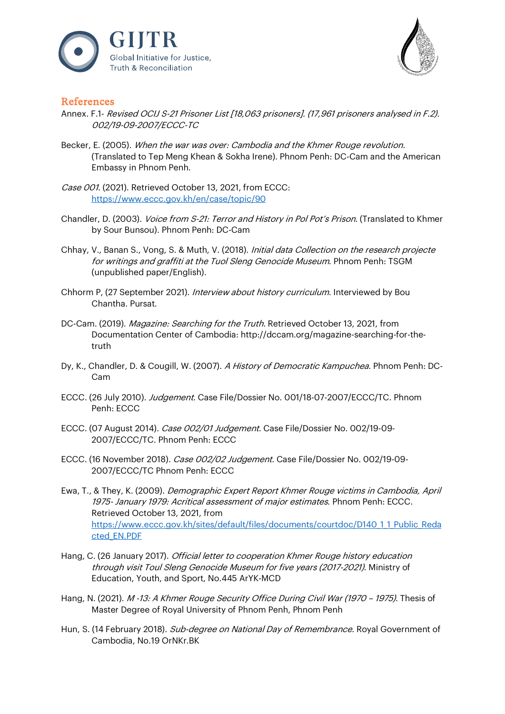



# References

- Annex. F.1- Revised OCIJ S-21 Prisoner List [18,063 prisoners]. (17,961 prisoners analysed in F.2). 002/19-09-2007/ECCC-TC
- Becker, E. (2005). When the war was over: Cambodia and the Khmer Rouge revolution. (Translated to Tep Meng Khean & Sokha Irene). Phnom Penh: DC-Cam and the American Embassy in Phnom Penh.
- Case 001. (2021). Retrieved October 13, 2021, from ECCC: <https://www.eccc.gov.kh/en/case/topic/90>
- Chandler, D. (2003). Voice from S-21: Terror and History in Pol Pot's Prison. (Translated to Khmer by Sour Bunsou). Phnom Penh: DC-Cam
- Chhay, V., Banan S., Vong, S. & Muth, V. (2018). Initial data Collection on the research projecte for writings and graffiti at the Tuol Sleng Genocide Museum. Phnom Penh: TSGM (unpublished paper/English).
- Chhorm P, (27 September 2021). Interview about history curriculum. Interviewed by Bou Chantha. Pursat.
- DC-Cam. (2019). Magazine: Searching for the Truth. Retrieved October 13, 2021, from Documentation Center of Cambodia: http://dccam.org/magazine-searching-for-thetruth
- Dy, K., Chandler, D. & Cougill, W. (2007). A History of Democratic Kampuchea. Phnom Penh: DC-Cam
- ECCC. (26 July 2010). Judgement. Case File/Dossier No. 001/18-07-2007/ECCC/TC. Phnom Penh: ECCC
- ECCC. (07 August 2014). Case 002/01 Judgement. Case File/Dossier No. 002/19-09- 2007/ECCC/TC. Phnom Penh: ECCC
- ECCC. (16 November 2018). Case 002/02 Judgement. Case File/Dossier No. 002/19-09- 2007/ECCC/TC Phnom Penh: ECCC
- Ewa, T., & They, K. (2009). Demographic Expert Report Khmer Rouge victims in Cambodia, April 1975- January 1979: Acritical assessment of major estimates. Phnom Penh: ECCC. Retrieved October 13, 2021, from [https://www.eccc.gov.kh/sites/default/files/documents/courtdoc/D140\\_1\\_1\\_Public\\_Reda](https://www.eccc.gov.kh/sites/default/files/documents/courtdoc/D140_1_1_Public_Redacted_EN.PDF) [cted\\_EN.PDF](https://www.eccc.gov.kh/sites/default/files/documents/courtdoc/D140_1_1_Public_Redacted_EN.PDF)
- Hang, C. (26 January 2017). Official letter to cooperation Khmer Rouge history education through visit Toul Sleng Genocide Museum for five years (2017-2021). Ministry of Education, Youth, and Sport, No.445 ArYK-MCD
- Hang, N. (2021). M -13: A Khmer Rouge Security Office During Civil War (1970 1975). Thesis of Master Degree of Royal University of Phnom Penh, Phnom Penh
- Hun, S. (14 February 2018). Sub-degree on National Day of Remembrance. Royal Government of Cambodia, No.19 OrNKr.BK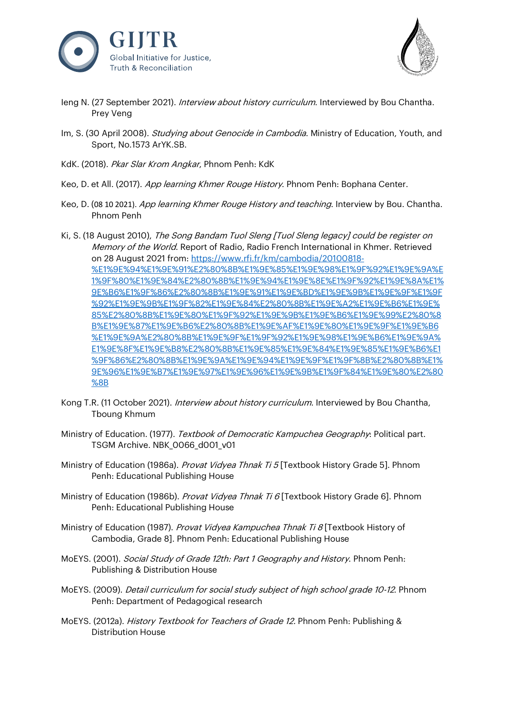



- Ieng N. (27 September 2021). Interview about history curriculum. Interviewed by Bou Chantha. Prey Veng
- Im, S. (30 April 2008). *Studying about Genocide in Cambodia*. Ministry of Education, Youth, and Sport, No.1573 ArYK.SB.
- KdK. (2018). Pkar Slar Krom Angkar, Phnom Penh: KdK
- Keo, D. et All. (2017). App learning Khmer Rouge History. Phnom Penh: Bophana Center.
- Keo, D. (08 10 2021). App learning Khmer Rouge History and teaching. Interview by Bou. Chantha. Phnom Penh
- Ki, S. (18 August 2010), The Song Bandam Tuol Sleng [Tuol Sleng legacy] could be register on Memory of the World. Report of Radio, Radio French International in Khmer. Retrieved on 28 August 2021 from: [https://www.rfi.fr/km/cambodia/20100818-](https://www.rfi.fr/km/cambodia/20100818-%E1%9E%94%E1%9E%91%E2%80%8B%E1%9E%85%E1%9E%98%E1%9F%92%E1%9E%9A%E1%9F%80%E1%9E%84%E2%80%8B%E1%9E%94%E1%9E%8E%E1%9F%92%E1%9E%8A%E1%9E%B6%E1%9F%86%E2%80%8B%E1%9E%91%E1%9E%BD%E1%9E%9B%E1%9E%9F%E1%9F%92%E1%9E%9B%E1%9F%82%E1%9E%84%E2%80%8B%E1%9E%A2%E1%9E%B6%E1%9E%85%E2%80%8B%E1%9E%80%E1%9F%92%E1%9E%9B%E1%9E%B6%E1%9E%99%E2%80%8B%E1%9E%87%E1%9E%B6%E2%80%8B%E1%9E%AF%E1%9E%80%E1%9E%9F%E1%9E%B6%E1%9E%9A%E2%80%8B%E1%9E%9F%E1%9F%92%E1%9E%98%E1%9E%B6%E1%9E%9A%E1%9E%8F%E1%9E%B8%E2%80%8B%E1%9E%85%E1%9E%84%E1%9E%85%E1%9E%B6%E1%9F%86%E2%80%8B%E1%9E%9A%E1%9E%94%E1%9E%9F%E1%9F%8B%E2%80%8B%E1%9E%96%E1%9E%B7%E1%9E%97%E1%9E%96%E1%9E%9B%E1%9F%84%E1%9E%80%E2%80%8B) [%E1%9E%94%E1%9E%91%E2%80%8B%E1%9E%85%E1%9E%98%E1%9F%92%E1%9E%9A%E](https://www.rfi.fr/km/cambodia/20100818-%E1%9E%94%E1%9E%91%E2%80%8B%E1%9E%85%E1%9E%98%E1%9F%92%E1%9E%9A%E1%9F%80%E1%9E%84%E2%80%8B%E1%9E%94%E1%9E%8E%E1%9F%92%E1%9E%8A%E1%9E%B6%E1%9F%86%E2%80%8B%E1%9E%91%E1%9E%BD%E1%9E%9B%E1%9E%9F%E1%9F%92%E1%9E%9B%E1%9F%82%E1%9E%84%E2%80%8B%E1%9E%A2%E1%9E%B6%E1%9E%85%E2%80%8B%E1%9E%80%E1%9F%92%E1%9E%9B%E1%9E%B6%E1%9E%99%E2%80%8B%E1%9E%87%E1%9E%B6%E2%80%8B%E1%9E%AF%E1%9E%80%E1%9E%9F%E1%9E%B6%E1%9E%9A%E2%80%8B%E1%9E%9F%E1%9F%92%E1%9E%98%E1%9E%B6%E1%9E%9A%E1%9E%8F%E1%9E%B8%E2%80%8B%E1%9E%85%E1%9E%84%E1%9E%85%E1%9E%B6%E1%9F%86%E2%80%8B%E1%9E%9A%E1%9E%94%E1%9E%9F%E1%9F%8B%E2%80%8B%E1%9E%96%E1%9E%B7%E1%9E%97%E1%9E%96%E1%9E%9B%E1%9F%84%E1%9E%80%E2%80%8B) [1%9F%80%E1%9E%84%E2%80%8B%E1%9E%94%E1%9E%8E%E1%9F%92%E1%9E%8A%E1%](https://www.rfi.fr/km/cambodia/20100818-%E1%9E%94%E1%9E%91%E2%80%8B%E1%9E%85%E1%9E%98%E1%9F%92%E1%9E%9A%E1%9F%80%E1%9E%84%E2%80%8B%E1%9E%94%E1%9E%8E%E1%9F%92%E1%9E%8A%E1%9E%B6%E1%9F%86%E2%80%8B%E1%9E%91%E1%9E%BD%E1%9E%9B%E1%9E%9F%E1%9F%92%E1%9E%9B%E1%9F%82%E1%9E%84%E2%80%8B%E1%9E%A2%E1%9E%B6%E1%9E%85%E2%80%8B%E1%9E%80%E1%9F%92%E1%9E%9B%E1%9E%B6%E1%9E%99%E2%80%8B%E1%9E%87%E1%9E%B6%E2%80%8B%E1%9E%AF%E1%9E%80%E1%9E%9F%E1%9E%B6%E1%9E%9A%E2%80%8B%E1%9E%9F%E1%9F%92%E1%9E%98%E1%9E%B6%E1%9E%9A%E1%9E%8F%E1%9E%B8%E2%80%8B%E1%9E%85%E1%9E%84%E1%9E%85%E1%9E%B6%E1%9F%86%E2%80%8B%E1%9E%9A%E1%9E%94%E1%9E%9F%E1%9F%8B%E2%80%8B%E1%9E%96%E1%9E%B7%E1%9E%97%E1%9E%96%E1%9E%9B%E1%9F%84%E1%9E%80%E2%80%8B) [9E%B6%E1%9F%86%E2%80%8B%E1%9E%91%E1%9E%BD%E1%9E%9B%E1%9E%9F%E1%9F](https://www.rfi.fr/km/cambodia/20100818-%E1%9E%94%E1%9E%91%E2%80%8B%E1%9E%85%E1%9E%98%E1%9F%92%E1%9E%9A%E1%9F%80%E1%9E%84%E2%80%8B%E1%9E%94%E1%9E%8E%E1%9F%92%E1%9E%8A%E1%9E%B6%E1%9F%86%E2%80%8B%E1%9E%91%E1%9E%BD%E1%9E%9B%E1%9E%9F%E1%9F%92%E1%9E%9B%E1%9F%82%E1%9E%84%E2%80%8B%E1%9E%A2%E1%9E%B6%E1%9E%85%E2%80%8B%E1%9E%80%E1%9F%92%E1%9E%9B%E1%9E%B6%E1%9E%99%E2%80%8B%E1%9E%87%E1%9E%B6%E2%80%8B%E1%9E%AF%E1%9E%80%E1%9E%9F%E1%9E%B6%E1%9E%9A%E2%80%8B%E1%9E%9F%E1%9F%92%E1%9E%98%E1%9E%B6%E1%9E%9A%E1%9E%8F%E1%9E%B8%E2%80%8B%E1%9E%85%E1%9E%84%E1%9E%85%E1%9E%B6%E1%9F%86%E2%80%8B%E1%9E%9A%E1%9E%94%E1%9E%9F%E1%9F%8B%E2%80%8B%E1%9E%96%E1%9E%B7%E1%9E%97%E1%9E%96%E1%9E%9B%E1%9F%84%E1%9E%80%E2%80%8B) [%92%E1%9E%9B%E1%9F%82%E1%9E%84%E2%80%8B%E1%9E%A2%E1%9E%B6%E1%9E%](https://www.rfi.fr/km/cambodia/20100818-%E1%9E%94%E1%9E%91%E2%80%8B%E1%9E%85%E1%9E%98%E1%9F%92%E1%9E%9A%E1%9F%80%E1%9E%84%E2%80%8B%E1%9E%94%E1%9E%8E%E1%9F%92%E1%9E%8A%E1%9E%B6%E1%9F%86%E2%80%8B%E1%9E%91%E1%9E%BD%E1%9E%9B%E1%9E%9F%E1%9F%92%E1%9E%9B%E1%9F%82%E1%9E%84%E2%80%8B%E1%9E%A2%E1%9E%B6%E1%9E%85%E2%80%8B%E1%9E%80%E1%9F%92%E1%9E%9B%E1%9E%B6%E1%9E%99%E2%80%8B%E1%9E%87%E1%9E%B6%E2%80%8B%E1%9E%AF%E1%9E%80%E1%9E%9F%E1%9E%B6%E1%9E%9A%E2%80%8B%E1%9E%9F%E1%9F%92%E1%9E%98%E1%9E%B6%E1%9E%9A%E1%9E%8F%E1%9E%B8%E2%80%8B%E1%9E%85%E1%9E%84%E1%9E%85%E1%9E%B6%E1%9F%86%E2%80%8B%E1%9E%9A%E1%9E%94%E1%9E%9F%E1%9F%8B%E2%80%8B%E1%9E%96%E1%9E%B7%E1%9E%97%E1%9E%96%E1%9E%9B%E1%9F%84%E1%9E%80%E2%80%8B) [85%E2%80%8B%E1%9E%80%E1%9F%92%E1%9E%9B%E1%9E%B6%E1%9E%99%E2%80%8](https://www.rfi.fr/km/cambodia/20100818-%E1%9E%94%E1%9E%91%E2%80%8B%E1%9E%85%E1%9E%98%E1%9F%92%E1%9E%9A%E1%9F%80%E1%9E%84%E2%80%8B%E1%9E%94%E1%9E%8E%E1%9F%92%E1%9E%8A%E1%9E%B6%E1%9F%86%E2%80%8B%E1%9E%91%E1%9E%BD%E1%9E%9B%E1%9E%9F%E1%9F%92%E1%9E%9B%E1%9F%82%E1%9E%84%E2%80%8B%E1%9E%A2%E1%9E%B6%E1%9E%85%E2%80%8B%E1%9E%80%E1%9F%92%E1%9E%9B%E1%9E%B6%E1%9E%99%E2%80%8B%E1%9E%87%E1%9E%B6%E2%80%8B%E1%9E%AF%E1%9E%80%E1%9E%9F%E1%9E%B6%E1%9E%9A%E2%80%8B%E1%9E%9F%E1%9F%92%E1%9E%98%E1%9E%B6%E1%9E%9A%E1%9E%8F%E1%9E%B8%E2%80%8B%E1%9E%85%E1%9E%84%E1%9E%85%E1%9E%B6%E1%9F%86%E2%80%8B%E1%9E%9A%E1%9E%94%E1%9E%9F%E1%9F%8B%E2%80%8B%E1%9E%96%E1%9E%B7%E1%9E%97%E1%9E%96%E1%9E%9B%E1%9F%84%E1%9E%80%E2%80%8B) [B%E1%9E%87%E1%9E%B6%E2%80%8B%E1%9E%AF%E1%9E%80%E1%9E%9F%E1%9E%B6](https://www.rfi.fr/km/cambodia/20100818-%E1%9E%94%E1%9E%91%E2%80%8B%E1%9E%85%E1%9E%98%E1%9F%92%E1%9E%9A%E1%9F%80%E1%9E%84%E2%80%8B%E1%9E%94%E1%9E%8E%E1%9F%92%E1%9E%8A%E1%9E%B6%E1%9F%86%E2%80%8B%E1%9E%91%E1%9E%BD%E1%9E%9B%E1%9E%9F%E1%9F%92%E1%9E%9B%E1%9F%82%E1%9E%84%E2%80%8B%E1%9E%A2%E1%9E%B6%E1%9E%85%E2%80%8B%E1%9E%80%E1%9F%92%E1%9E%9B%E1%9E%B6%E1%9E%99%E2%80%8B%E1%9E%87%E1%9E%B6%E2%80%8B%E1%9E%AF%E1%9E%80%E1%9E%9F%E1%9E%B6%E1%9E%9A%E2%80%8B%E1%9E%9F%E1%9F%92%E1%9E%98%E1%9E%B6%E1%9E%9A%E1%9E%8F%E1%9E%B8%E2%80%8B%E1%9E%85%E1%9E%84%E1%9E%85%E1%9E%B6%E1%9F%86%E2%80%8B%E1%9E%9A%E1%9E%94%E1%9E%9F%E1%9F%8B%E2%80%8B%E1%9E%96%E1%9E%B7%E1%9E%97%E1%9E%96%E1%9E%9B%E1%9F%84%E1%9E%80%E2%80%8B) [%E1%9E%9A%E2%80%8B%E1%9E%9F%E1%9F%92%E1%9E%98%E1%9E%B6%E1%9E%9A%](https://www.rfi.fr/km/cambodia/20100818-%E1%9E%94%E1%9E%91%E2%80%8B%E1%9E%85%E1%9E%98%E1%9F%92%E1%9E%9A%E1%9F%80%E1%9E%84%E2%80%8B%E1%9E%94%E1%9E%8E%E1%9F%92%E1%9E%8A%E1%9E%B6%E1%9F%86%E2%80%8B%E1%9E%91%E1%9E%BD%E1%9E%9B%E1%9E%9F%E1%9F%92%E1%9E%9B%E1%9F%82%E1%9E%84%E2%80%8B%E1%9E%A2%E1%9E%B6%E1%9E%85%E2%80%8B%E1%9E%80%E1%9F%92%E1%9E%9B%E1%9E%B6%E1%9E%99%E2%80%8B%E1%9E%87%E1%9E%B6%E2%80%8B%E1%9E%AF%E1%9E%80%E1%9E%9F%E1%9E%B6%E1%9E%9A%E2%80%8B%E1%9E%9F%E1%9F%92%E1%9E%98%E1%9E%B6%E1%9E%9A%E1%9E%8F%E1%9E%B8%E2%80%8B%E1%9E%85%E1%9E%84%E1%9E%85%E1%9E%B6%E1%9F%86%E2%80%8B%E1%9E%9A%E1%9E%94%E1%9E%9F%E1%9F%8B%E2%80%8B%E1%9E%96%E1%9E%B7%E1%9E%97%E1%9E%96%E1%9E%9B%E1%9F%84%E1%9E%80%E2%80%8B) [E1%9E%8F%E1%9E%B8%E2%80%8B%E1%9E%85%E1%9E%84%E1%9E%85%E1%9E%B6%E1](https://www.rfi.fr/km/cambodia/20100818-%E1%9E%94%E1%9E%91%E2%80%8B%E1%9E%85%E1%9E%98%E1%9F%92%E1%9E%9A%E1%9F%80%E1%9E%84%E2%80%8B%E1%9E%94%E1%9E%8E%E1%9F%92%E1%9E%8A%E1%9E%B6%E1%9F%86%E2%80%8B%E1%9E%91%E1%9E%BD%E1%9E%9B%E1%9E%9F%E1%9F%92%E1%9E%9B%E1%9F%82%E1%9E%84%E2%80%8B%E1%9E%A2%E1%9E%B6%E1%9E%85%E2%80%8B%E1%9E%80%E1%9F%92%E1%9E%9B%E1%9E%B6%E1%9E%99%E2%80%8B%E1%9E%87%E1%9E%B6%E2%80%8B%E1%9E%AF%E1%9E%80%E1%9E%9F%E1%9E%B6%E1%9E%9A%E2%80%8B%E1%9E%9F%E1%9F%92%E1%9E%98%E1%9E%B6%E1%9E%9A%E1%9E%8F%E1%9E%B8%E2%80%8B%E1%9E%85%E1%9E%84%E1%9E%85%E1%9E%B6%E1%9F%86%E2%80%8B%E1%9E%9A%E1%9E%94%E1%9E%9F%E1%9F%8B%E2%80%8B%E1%9E%96%E1%9E%B7%E1%9E%97%E1%9E%96%E1%9E%9B%E1%9F%84%E1%9E%80%E2%80%8B) [%9F%86%E2%80%8B%E1%9E%9A%E1%9E%94%E1%9E%9F%E1%9F%8B%E2%80%8B%E1%](https://www.rfi.fr/km/cambodia/20100818-%E1%9E%94%E1%9E%91%E2%80%8B%E1%9E%85%E1%9E%98%E1%9F%92%E1%9E%9A%E1%9F%80%E1%9E%84%E2%80%8B%E1%9E%94%E1%9E%8E%E1%9F%92%E1%9E%8A%E1%9E%B6%E1%9F%86%E2%80%8B%E1%9E%91%E1%9E%BD%E1%9E%9B%E1%9E%9F%E1%9F%92%E1%9E%9B%E1%9F%82%E1%9E%84%E2%80%8B%E1%9E%A2%E1%9E%B6%E1%9E%85%E2%80%8B%E1%9E%80%E1%9F%92%E1%9E%9B%E1%9E%B6%E1%9E%99%E2%80%8B%E1%9E%87%E1%9E%B6%E2%80%8B%E1%9E%AF%E1%9E%80%E1%9E%9F%E1%9E%B6%E1%9E%9A%E2%80%8B%E1%9E%9F%E1%9F%92%E1%9E%98%E1%9E%B6%E1%9E%9A%E1%9E%8F%E1%9E%B8%E2%80%8B%E1%9E%85%E1%9E%84%E1%9E%85%E1%9E%B6%E1%9F%86%E2%80%8B%E1%9E%9A%E1%9E%94%E1%9E%9F%E1%9F%8B%E2%80%8B%E1%9E%96%E1%9E%B7%E1%9E%97%E1%9E%96%E1%9E%9B%E1%9F%84%E1%9E%80%E2%80%8B) [9E%96%E1%9E%B7%E1%9E%97%E1%9E%96%E1%9E%9B%E1%9F%84%E1%9E%80%E2%80](https://www.rfi.fr/km/cambodia/20100818-%E1%9E%94%E1%9E%91%E2%80%8B%E1%9E%85%E1%9E%98%E1%9F%92%E1%9E%9A%E1%9F%80%E1%9E%84%E2%80%8B%E1%9E%94%E1%9E%8E%E1%9F%92%E1%9E%8A%E1%9E%B6%E1%9F%86%E2%80%8B%E1%9E%91%E1%9E%BD%E1%9E%9B%E1%9E%9F%E1%9F%92%E1%9E%9B%E1%9F%82%E1%9E%84%E2%80%8B%E1%9E%A2%E1%9E%B6%E1%9E%85%E2%80%8B%E1%9E%80%E1%9F%92%E1%9E%9B%E1%9E%B6%E1%9E%99%E2%80%8B%E1%9E%87%E1%9E%B6%E2%80%8B%E1%9E%AF%E1%9E%80%E1%9E%9F%E1%9E%B6%E1%9E%9A%E2%80%8B%E1%9E%9F%E1%9F%92%E1%9E%98%E1%9E%B6%E1%9E%9A%E1%9E%8F%E1%9E%B8%E2%80%8B%E1%9E%85%E1%9E%84%E1%9E%85%E1%9E%B6%E1%9F%86%E2%80%8B%E1%9E%9A%E1%9E%94%E1%9E%9F%E1%9F%8B%E2%80%8B%E1%9E%96%E1%9E%B7%E1%9E%97%E1%9E%96%E1%9E%9B%E1%9F%84%E1%9E%80%E2%80%8B) [%8B](https://www.rfi.fr/km/cambodia/20100818-%E1%9E%94%E1%9E%91%E2%80%8B%E1%9E%85%E1%9E%98%E1%9F%92%E1%9E%9A%E1%9F%80%E1%9E%84%E2%80%8B%E1%9E%94%E1%9E%8E%E1%9F%92%E1%9E%8A%E1%9E%B6%E1%9F%86%E2%80%8B%E1%9E%91%E1%9E%BD%E1%9E%9B%E1%9E%9F%E1%9F%92%E1%9E%9B%E1%9F%82%E1%9E%84%E2%80%8B%E1%9E%A2%E1%9E%B6%E1%9E%85%E2%80%8B%E1%9E%80%E1%9F%92%E1%9E%9B%E1%9E%B6%E1%9E%99%E2%80%8B%E1%9E%87%E1%9E%B6%E2%80%8B%E1%9E%AF%E1%9E%80%E1%9E%9F%E1%9E%B6%E1%9E%9A%E2%80%8B%E1%9E%9F%E1%9F%92%E1%9E%98%E1%9E%B6%E1%9E%9A%E1%9E%8F%E1%9E%B8%E2%80%8B%E1%9E%85%E1%9E%84%E1%9E%85%E1%9E%B6%E1%9F%86%E2%80%8B%E1%9E%9A%E1%9E%94%E1%9E%9F%E1%9F%8B%E2%80%8B%E1%9E%96%E1%9E%B7%E1%9E%97%E1%9E%96%E1%9E%9B%E1%9F%84%E1%9E%80%E2%80%8B)
- Kong T.R. (11 October 2021). Interview about history curriculum. Interviewed by Bou Chantha, Tboung Khmum
- Ministry of Education. (1977). Textbook of Democratic Kampuchea Geography: Political part. TSGM Archive. NBK\_0066\_d001\_v01
- Ministry of Education (1986a). Provat Vidyea Thnak Ti 5 [Textbook History Grade 5]. Phnom Penh: Educational Publishing House
- Ministry of Education (1986b). Provat Vidyea Thnak Ti 6 [Textbook History Grade 6]. Phnom Penh: Educational Publishing House
- Ministry of Education (1987). Provat Vidyea Kampuchea Thnak Ti 8 [Textbook History of Cambodia, Grade 8]. Phnom Penh: Educational Publishing House
- MoEYS. (2001). Social Study of Grade 12th: Part 1 Geography and History. Phnom Penh: Publishing & Distribution House
- MoEYS. (2009). Detail curriculum for social study subject of high school grade 10-12. Phnom Penh: Department of Pedagogical research
- MoEYS. (2012a). History Textbook for Teachers of Grade 12. Phnom Penh: Publishing & Distribution House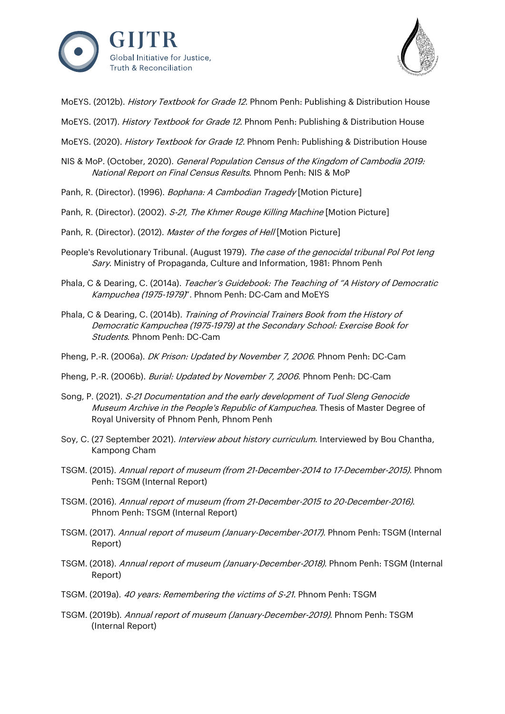



MoEYS. (2012b). History Textbook for Grade 12. Phnom Penh: Publishing & Distribution House

MoEYS. (2017). History Textbook for Grade 12. Phnom Penh: Publishing & Distribution House

- MoEYS. (2020). History Textbook for Grade 12. Phnom Penh: Publishing & Distribution House
- NIS & MoP. (October, 2020). General Population Census of the Kingdom of Cambodia 2019: National Report on Final Census Results. Phnom Penh: NIS & MoP
- Panh, R. (Director). (1996). Bophana: A Cambodian Tragedy [Motion Picture]
- Panh, R. (Director). (2002). S-21, The Khmer Rouge Killing Machine [Motion Picture]
- Panh, R. (Director). (2012). Master of the forges of Hell [Motion Picture]
- People's Revolutionary Tribunal. (August 1979). The case of the genocidal tribunal Pol Pot leng Sary. Ministry of Propaganda, Culture and Information, 1981: Phnom Penh
- Phala, C & Dearing, C. (2014a). Teacher's Guidebook: The Teaching of "A History of Democratic Kampuchea (1975-1979)". Phnom Penh: DC-Cam and MoEYS
- Phala, C & Dearing, C. (2014b). Training of Provincial Trainers Book from the History of Democratic Kampuchea (1975-1979) at the Secondary School: Exercise Book for Students. Phnom Penh: DC-Cam

Pheng, P.-R. (2006a). DK Prison: Updated by November 7, 2006. Phnom Penh: DC-Cam

- Pheng, P.-R. (2006b). Burial: Updated by November 7, 2006. Phnom Penh: DC-Cam
- Song, P. (2021). S-21 Documentation and the early development of Tuol Sleng Genocide Museum Archive in the People's Republic of Kampuchea. Thesis of Master Degree of Royal University of Phnom Penh, Phnom Penh
- Soy, C. (27 September 2021). Interview about history curriculum. Interviewed by Bou Chantha, Kampong Cham
- TSGM. (2015). Annual report of museum (from 21-December-2014 to 17-December-2015). Phnom Penh: TSGM (Internal Report)
- TSGM. (2016). Annual report of museum (from 21-December-2015 to 20-December-2016). Phnom Penh: TSGM (Internal Report)
- TSGM. (2017). Annual report of museum (January-December-2017). Phnom Penh: TSGM (Internal Report)
- TSGM. (2018). Annual report of museum (January-December-2018). Phnom Penh: TSGM (Internal Report)
- TSGM. (2019a). 40 years: Remembering the victims of S-21. Phnom Penh: TSGM
- TSGM. (2019b). Annual report of museum (January-December-2019). Phnom Penh: TSGM (Internal Report)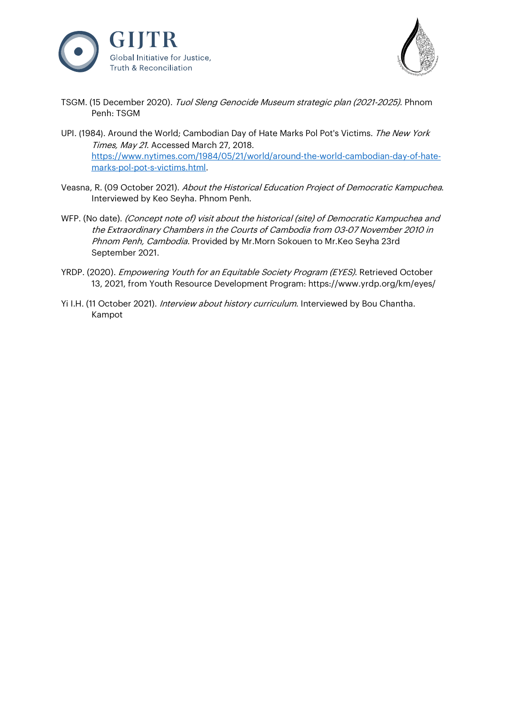



- TSGM. (15 December 2020). Tuol Sleng Genocide Museum strategic plan (2021-2025). Phnom Penh: TSGM
- UPI. (1984). Around the World; Cambodian Day of Hate Marks Pol Pot's Victims. The New York Times, May 21. Accessed March 27, 2018. [https://www.nytimes.com/1984/05/21/world/around-the-world-cambodian-day-of-hate](https://www.nytimes.com/1984/05/21/world/around-the-world-cambodian-day-of-hate-marks-pol-pot-s-victims.html)[marks-pol-pot-s-victims.html.](https://www.nytimes.com/1984/05/21/world/around-the-world-cambodian-day-of-hate-marks-pol-pot-s-victims.html)
- Veasna, R. (09 October 2021). About the Historical Education Project of Democratic Kampuchea. Interviewed by Keo Seyha. Phnom Penh.
- WFP. (No date). *(Concept note of) visit about the historical (site) of Democratic Kampuchea and* the Extraordinary Chambers in the Courts of Cambodia from 03-07 November 2010 in Phnom Penh, Cambodia. Provided by Mr.Morn Sokouen to Mr.Keo Seyha 23rd September 2021.
- YRDP. (2020). Empowering Youth for an Equitable Society Program (EYES). Retrieved October 13, 2021, from Youth Resource Development Program: https://www.yrdp.org/km/eyes/
- Yi I.H. (11 October 2021). Interview about history curriculum. Interviewed by Bou Chantha. Kampot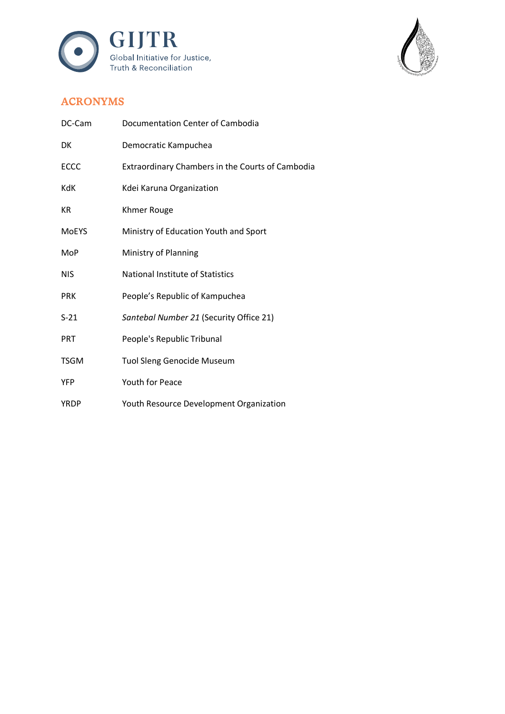



# ACRONYMS

| DC-Cam       | Documentation Center of Cambodia                 |  |
|--------------|--------------------------------------------------|--|
| DK           | Democratic Kampuchea                             |  |
| <b>ECCC</b>  | Extraordinary Chambers in the Courts of Cambodia |  |
| KdK          | Kdei Karuna Organization                         |  |
| KR.          | <b>Khmer Rouge</b>                               |  |
| <b>MoEYS</b> | Ministry of Education Youth and Sport            |  |
| MoP          | Ministry of Planning                             |  |
| <b>NIS</b>   | National Institute of Statistics                 |  |
| <b>PRK</b>   | People's Republic of Kampuchea                   |  |
| $S-21$       | Santebal Number 21 (Security Office 21)          |  |
| <b>PRT</b>   | People's Republic Tribunal                       |  |
| <b>TSGM</b>  | <b>Tuol Sleng Genocide Museum</b>                |  |
| <b>YFP</b>   | <b>Youth for Peace</b>                           |  |
| <b>YRDP</b>  | Youth Resource Development Organization          |  |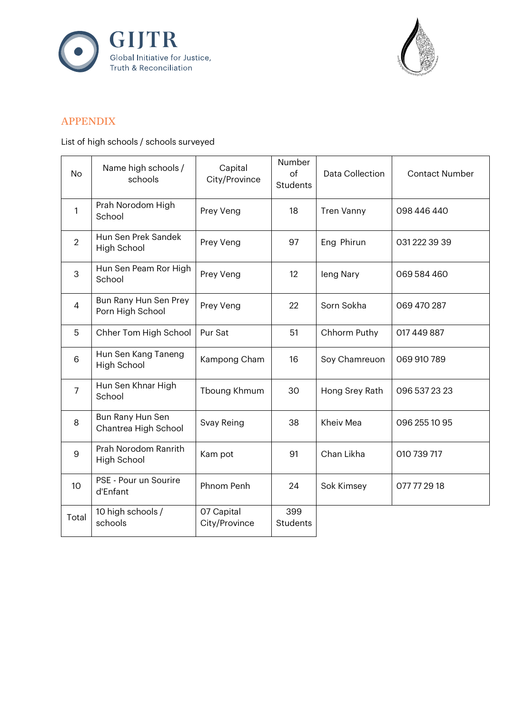



# APPENDIX

List of high schools / schools surveyed

| <b>No</b>      | Name high schools /<br>schools            | Capital<br>City/Province    | Number<br>$\circ$ f<br><b>Students</b> | Data Collection   | <b>Contact Number</b> |
|----------------|-------------------------------------------|-----------------------------|----------------------------------------|-------------------|-----------------------|
| 1              | Prah Norodom High<br>School               | Prey Veng                   | 18                                     | <b>Tren Vanny</b> | 098 446 440           |
| $\overline{2}$ | Hun Sen Prek Sandek<br>High School        | Prey Veng                   | 97                                     | Eng Phirun        | 031 222 39 39         |
| 3              | Hun Sen Peam Ror High<br>School           | Prey Veng                   | 12                                     | leng Nary         | 069 584 460           |
| $\overline{4}$ | Bun Rany Hun Sen Prey<br>Porn High School | Prey Veng                   | 22                                     | Sorn Sokha        | 069 470 287           |
| 5              | Chher Tom High School                     | Pur Sat                     | 51                                     | Chhorm Puthy      | 017 449 887           |
| 6              | Hun Sen Kang Taneng<br>High School        | Kampong Cham                | 16                                     | Soy Chamreuon     | 069 910 789           |
| $\overline{7}$ | Hun Sen Khnar High<br>School              | Tboung Khmum                | 30                                     | Hong Srey Rath    | 096 537 23 23         |
| 8              | Bun Rany Hun Sen<br>Chantrea High School  | Svay Reing                  | 38                                     | Kheiv Mea         | 096 255 10 95         |
| 9              | Prah Norodom Ranrith<br>High School       | Kam pot                     | 91                                     | Chan Likha        | 010 739 717           |
| 10             | PSE - Pour un Sourire<br>d'Enfant         | Phnom Penh                  | 24                                     | Sok Kimsey        | 077 77 29 18          |
| Total          | 10 high schools /<br>schools              | 07 Capital<br>City/Province | 399<br><b>Students</b>                 |                   |                       |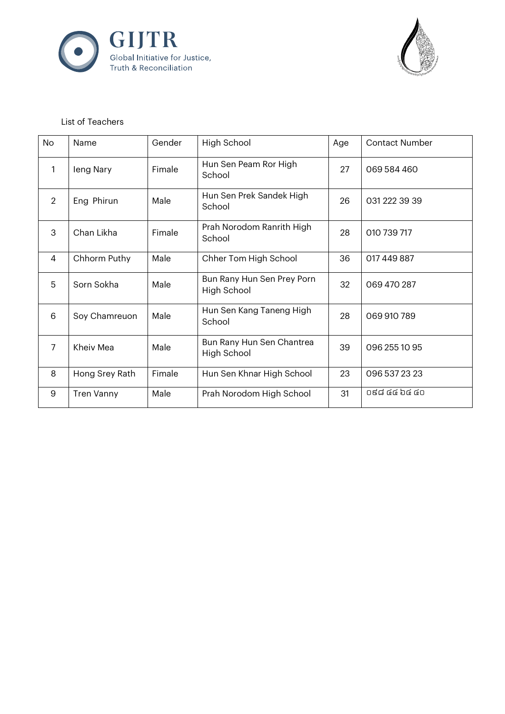



#### List of Teachers

| No             | Name              | Gender | High School                               | Age | <b>Contact Number</b> |
|----------------|-------------------|--------|-------------------------------------------|-----|-----------------------|
| 1              | leng Nary         | Fimale | Hun Sen Peam Ror High<br>School           | 27  | 069 584 460           |
| 2              | Eng Phirun        | Male   | Hun Sen Prek Sandek High<br>School        | 26  | 031 222 39 39         |
| 3              | Chan Likha        | Fimale | Prah Norodom Ranrith High<br>School       | 28  | 010 739 717           |
| 4              | Chhorm Puthy      | Male   | Chher Tom High School                     | 36  | 017 449 887           |
| 5              | Sorn Sokha        | Male   | Bun Rany Hun Sen Prey Porn<br>High School | 32  | 069 470 287           |
| 6              | Soy Chamreuon     | Male   | Hun Sen Kang Taneng High<br>School        | 28  | 069 910 789           |
| $\overline{7}$ | Kheiv Mea         | Male   | Bun Rany Hun Sen Chantrea<br>High School  | 39  | 096 255 10 95         |
| 8              | Hong Srey Rath    | Fimale | Hun Sen Khnar High School                 | 23  | 096 537 23 23         |
| 9              | <b>Tren Vanny</b> | Male   | Prah Norodom High School                  | 31  | ០៩៨ ៤៤ ៦៤ ៤០          |
|                |                   |        |                                           |     |                       |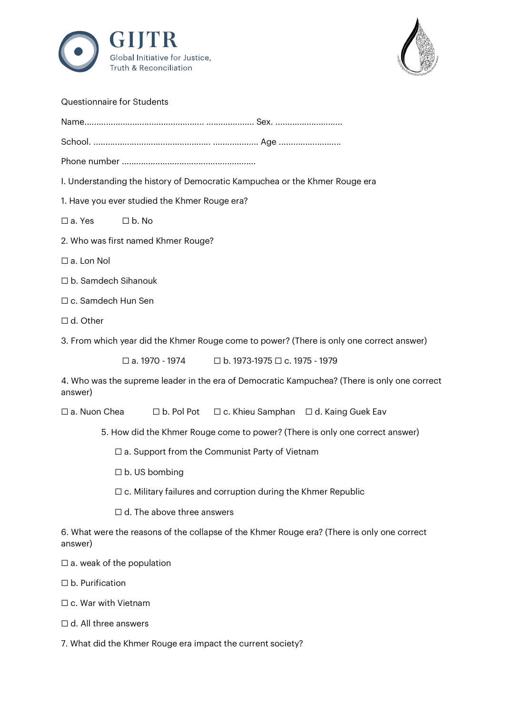



| I. Understanding the history of Democratic Kampuchea or the Khmer Rouge era                             |
|---------------------------------------------------------------------------------------------------------|
| 1. Have you ever studied the Khmer Rouge era?                                                           |
| $\Box$ b. No<br>$\square$ a. Yes                                                                        |
| 2. Who was first named Khmer Rouge?                                                                     |
| $\square$ a. Lon Nol                                                                                    |
| $\Box$ b. Samdech Sihanouk                                                                              |
| □ c. Samdech Hun Sen                                                                                    |
| $\Box$ d. Other                                                                                         |
| 3. From which year did the Khmer Rouge come to power? (There is only one correct answer)                |
| $\Box$ a. 1970 - 1974<br>□ b. 1973-1975 □ c. 1975 - 1979                                                |
| 4. Who was the supreme leader in the era of Democratic Kampuchea? (There is only one correct<br>answer) |
| $\square$ a. Nuon Chea<br>$\Box$ b. Pol Pot $\Box$ c. Khieu Samphan $\Box$ d. Kaing Guek Eav            |
| 5. How did the Khmer Rouge come to power? (There is only one correct answer)                            |
| $\Box$ a. Support from the Communist Party of Vietnam                                                   |
| $\Box$ b. US bombing                                                                                    |
| $\Box$ c. Military failures and corruption during the Khmer Republic                                    |
| $\Box$ d. The above three answers                                                                       |
| 6. What were the reasons of the collapse of the Khmer Rouge era? (There is only one correct<br>answer)  |
| $\Box$ a. weak of the population                                                                        |
| $\square$ b. Purification                                                                               |
| $\Box$ c. War with Vietnam                                                                              |
| $\Box$ d. All three answers                                                                             |
| 7. What did the Khmer Rouge era impact the current society?                                             |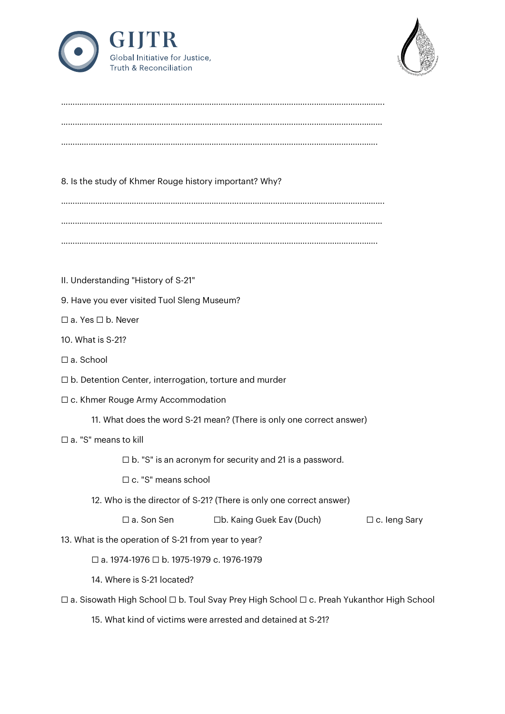



8. Is the study of Khmer Rouge history important? Why?

……………………………………………………………………………………………………………………………. …………………………………………………………………………………………………………………………… ………………………………………………………………………………………………………………………….

- II. Understanding "History of S-21"
- 9. Have you ever visited Tuol Sleng Museum?
- ☐ a. Yes ☐ b. Never
- 10. What is S-21?
- ☐ a. School
- ☐ b. Detention Center, interrogation, torture and murder
- ☐ c. Khmer Rouge Army Accommodation
	- 11. What does the word S-21 mean? (There is only one correct answer)
- □ a. "S" means to kill
	- ☐ b. "S" is an acronym for security and 21 is a password.
	- ☐ c. "S" means school
	- 12. Who is the director of S-21? (There is only one correct answer)
		- ☐ a. Son Sen ☐b. Kaing Guek Eav (Duch) ☐ c. Ieng Sary

- 13. What is the operation of S-21 from year to year?
	- ☐ a. 1974-1976 ☐ b. 1975-1979 c. 1976-1979
	- 14. Where is S-21 located?
- ☐ a. Sisowath High School ☐ b. Toul Svay Prey High School ☐ c. Preah Yukanthor High School
	- 15. What kind of victims were arrested and detained at S-21?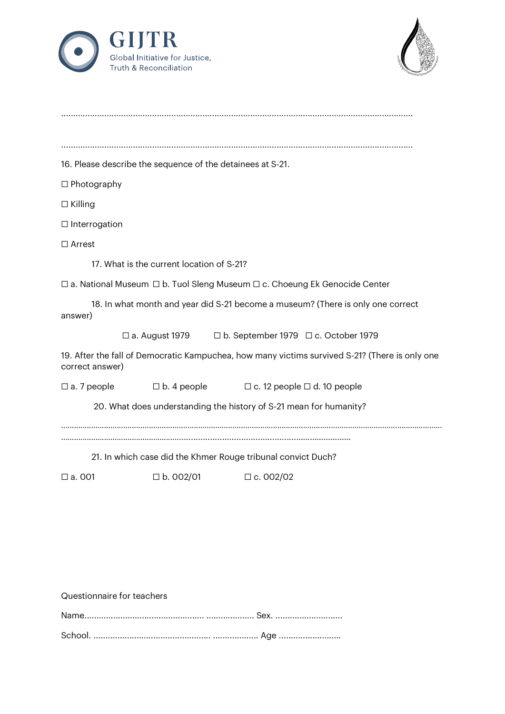



| 16. Please describe the sequence of the detainees at S-21.                                 |                    |                                                                                                |  |  |
|--------------------------------------------------------------------------------------------|--------------------|------------------------------------------------------------------------------------------------|--|--|
| $\Box$ Photography                                                                         |                    |                                                                                                |  |  |
| $\Box$ Killing                                                                             |                    |                                                                                                |  |  |
| $\Box$ Interrogation                                                                       |                    |                                                                                                |  |  |
| $\Box$ Arrest                                                                              |                    |                                                                                                |  |  |
| 17. What is the current location of S-21?                                                  |                    |                                                                                                |  |  |
| $\Box$ a. National Museum $\Box$ b. Tuol Sleng Museum $\Box$ c. Choeung Ek Genocide Center |                    |                                                                                                |  |  |
| answer)                                                                                    |                    | 18. In what month and year did S-21 become a museum? (There is only one correct                |  |  |
| $\square$ a. August 1979                                                                   |                    | $\Box$ b. September 1979 $\Box$ c. October 1979                                                |  |  |
| correct answer)                                                                            |                    | 19. After the fall of Democratic Kampuchea, how many victims survived S-21? (There is only one |  |  |
| $\square$ a. 7 people                                                                      | $\Box$ b. 4 people | $\Box$ c. 12 people $\Box$ d. 10 people                                                        |  |  |
|                                                                                            |                    | 20. What does understanding the history of S-21 mean for humanity?                             |  |  |
|                                                                                            |                    |                                                                                                |  |  |
|                                                                                            |                    | 21. In which case did the Khmer Rouge tribunal convict Duch?                                   |  |  |
| $\Box$ a. 001                                                                              | $\Box$ b. 002/01   | $\Box$ c. 002/02                                                                               |  |  |

Questionnaire for teachers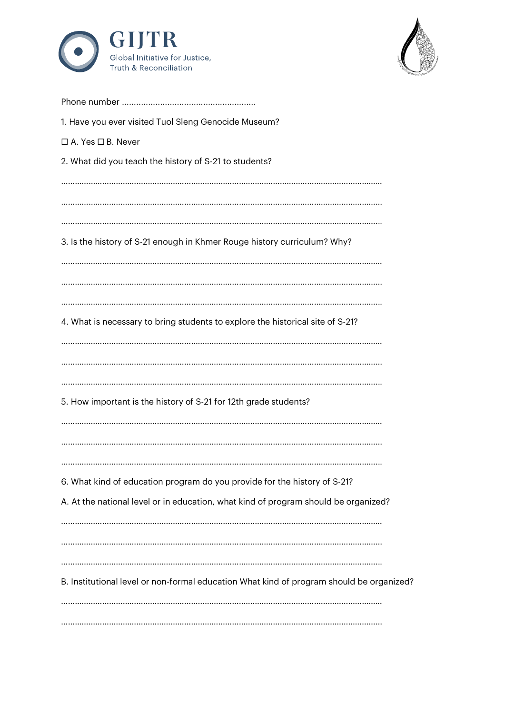



| 1. Have you ever visited Tuol Sleng Genocide Museum?                                     |
|------------------------------------------------------------------------------------------|
| $\Box$ A. Yes $\Box$ B. Never                                                            |
| 2. What did you teach the history of S-21 to students?                                   |
|                                                                                          |
|                                                                                          |
| 3. Is the history of S-21 enough in Khmer Rouge history curriculum? Why?                 |
|                                                                                          |
| 4. What is necessary to bring students to explore the historical site of S-21?           |
|                                                                                          |
| 5. How important is the history of S-21 for 12th grade students?                         |
|                                                                                          |
| 6. What kind of education program do you provide for the history of S-21?                |
| A. At the national level or in education, what kind of program should be organized?      |
|                                                                                          |
| B. Institutional level or non-formal education What kind of program should be organized? |
|                                                                                          |